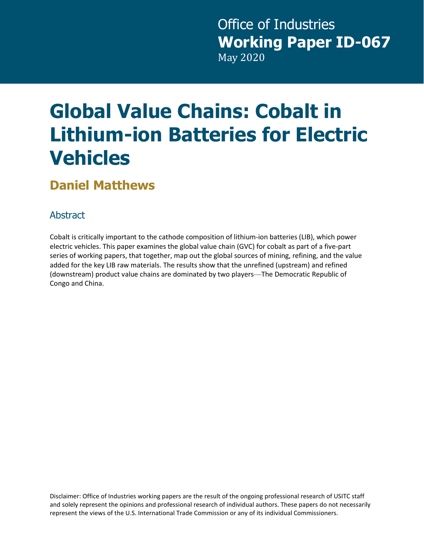# **Global Value Chains: Cobalt in Lithium-ion Batteries for Electric Vehicles**

#### **Daniel Matthews**

#### Abstract

 Cobalt is critically important to the cathode composition of lithium-ion batteries (LIB), which power series of working papers, that together, map out the global sources of mining, refining, and the value electric vehicles. This paper examines the global value chain (GVC) for cobalt as part of a five-part added for the key LIB raw materials. The results show that the unrefined (upstream) and refined (downstream) product value chains are dominated by two players—The Democratic Republic of Congo and China.

Disclaimer: Office of Industries working papers are the result of the ongoing professional research of USITC staff and solely represent the opinions and professional research of individual authors. These papers do not necessarily represent the views of the U.S. International Trade Commission or any of its individual Commissioners.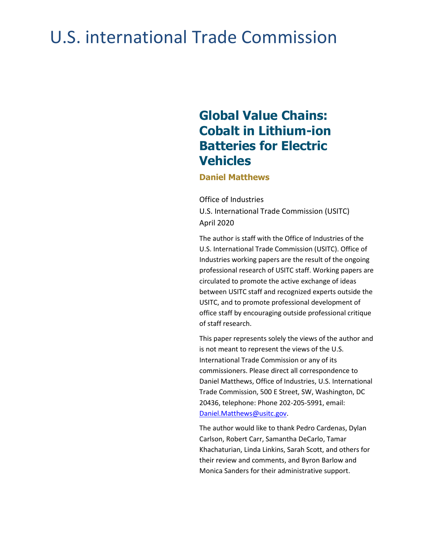## U.S. international Trade Commission

#### **Batteries for Electric Global Value Chains: Cobalt in Lithium-ion Vehicles**

**Daniel Matthews** 

Office of Industries Office of Industries<br>U.S. International Trade Commission (USITC) April 2020

 The author is staff with the Office of Industries of the U.S. International Trade Commission (USITC). Office of Industries working papers are the result of the ongoing professional research of USITC staff. Working papers are circulated to promote the active exchange of ideas between USITC staff and recognized experts outside the USITC, and to promote professional development of office staff by encouraging outside professional critique of staff research.

 This paper represents solely the views of the author and is not meant to represent the views of the U.S. International Trade Commission or any of its Daniel Matthews, Office of Industries, U.S. International commissioners. Please direct all correspondence to Trade Commission, 500 E Street, SW, Washington, DC 20436, telephone: Phone 202-205-5991, email: [Daniel.Matthews@usitc.gov.](mailto:Daniel.Matthews@usitc.gov)

The author would like to thank Pedro Cardenas, Dylan Carlson, Robert Carr, Samantha DeCarlo, Tamar Khachaturian, Linda Linkins, Sarah Scott, and others for their review and comments, and Byron Barlow and Monica Sanders for their administrative support.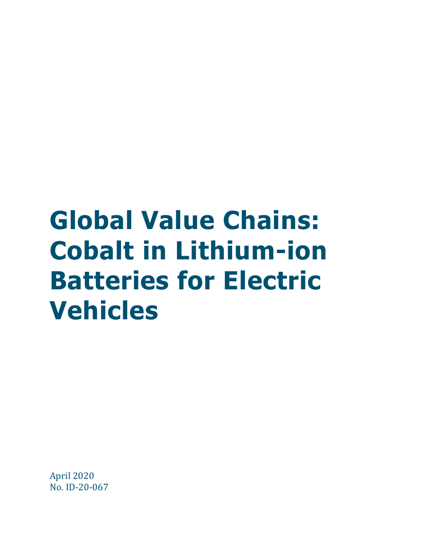# **Global Value Chains: Cobalt in Lithium-ion Batteries for Electric Vehicles**

 April 2020 No. ID-20-067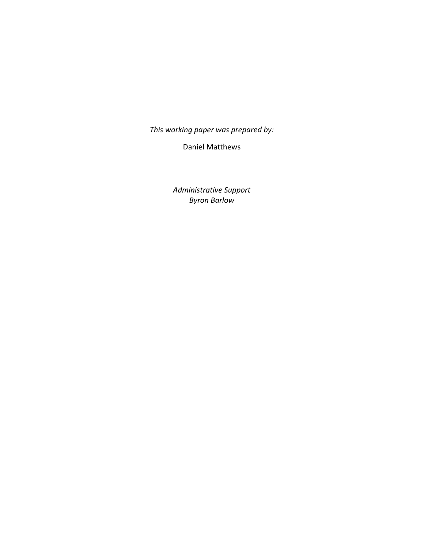*This working paper was prepared by:* 

Daniel Matthews

 *Administrative Support Byron Barlow*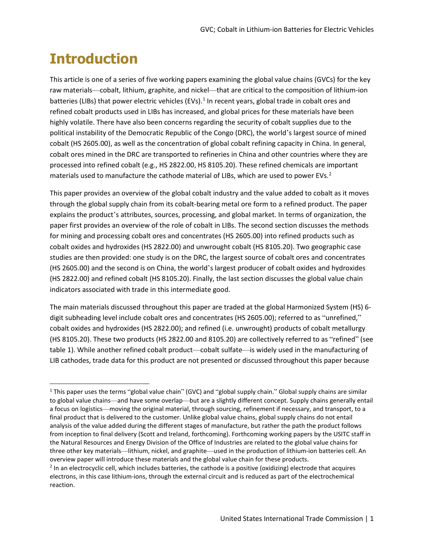#### **Introduction**

 This article is one of a series of five working papers examining the global value chains (GVCs) for the key batteries (LIBs) that power electric vehicles (EVs).<sup>[1](#page-6-0)</sup> In recent years, global trade in cobalt ores and highly volatile. There have also been concerns regarding the security of cobalt supplies due to the political instability of the Democratic Republic of the Congo (DRC), the world's largest source of mined cobalt ores mined in the DRC are transported to refineries in China and other countries where they are materials used to manufacture the cathode material of LIBs, which are used to power EVs.<sup>2</sup> raw materials—cobalt, lithium, graphite, and nickel—that are critical to the composition of lithium-ion refined cobalt products used in LIBs has increased, and global prices for these materials have been cobalt (HS 2605.00), as well as the concentration of global cobalt refining capacity in China. In general, processed into refined cobalt (e.g., HS 2822.00, HS 8105.20). These refined chemicals are important

 for mining and processing cobalt ores and concentrates (HS 2605.00) into refined products such as cobalt oxides and hydroxides (HS 2822.00) and unwrought cobalt (HS 8105.20). Two geographic case studies are then provided: one study is on the DRC, the largest source of cobalt ores and concentrates (HS 2605.00) and the second is on China, the world's largest producer of cobalt oxides and hydroxides (HS 2822.00) and refined cobalt (HS 8105.20). Finally, the last section discusses the global value chain indicators associated with trade in this intermediate good. This paper provides an overview of the global cobalt industry and the value added to cobalt as it moves through the global supply chain from its cobalt-bearing metal ore form to a refined product. The paper explains the product's attributes, sources, processing, and global market. In terms of organization, the paper first provides an overview of the role of cobalt in LIBs. The second section discusses the methods

 The main materials discussed throughout this paper are traded at the global Harmonized System (HS) 6- (HS 8105.20). These two products (HS 2822.00 and 8105.20) are collectively referred to as "refined" (see digit subheading level include cobalt ores and concentrates (HS 2605.00); referred to as "unrefined," cobalt oxides and hydroxides (HS 2822.00); and refined (i.e. unwrought) products of cobalt metallurgy table 1). While another refined cobalt product—cobalt sulfate—is widely used in the manufacturing of LIB cathodes, trade data for this product are not presented or discussed throughout this paper because

<span id="page-6-0"></span> three other key materials—lithium, nickel, and graphite—used in the production of lithium-ion batteries cell. An <sup>1</sup> This paper uses the terms "global value chain" (GVC) and "global supply chain." Global supply chains are similar to global value chains—and have some overlap—but are a slightly different concept. Supply chains generally entail a focus on logistics—moving the original material, through sourcing, refinement if necessary, and transport, to a final product that is delivered to the customer. Unlike global value chains, global supply chains do not entail analysis of the value added during the different stages of manufacture, but rather the path the product follows from inception to final delivery (Scott and Ireland, forthcoming). Forthcoming working papers by the USITC staff in the Natural Resources and Energy Division of the Office of Industries are related to the global value chains for overview paper will introduce these materials and the global value chain for these products.

<span id="page-6-1"></span> $2$  In an electrocyclic cell, which includes batteries, the cathode is a positive (oxidizing) electrode that acquires reaction. electrons, in this case lithium-ions, through the external circuit and is reduced as part of the electrochemical reaction.<br>United States International Trade Commission | 1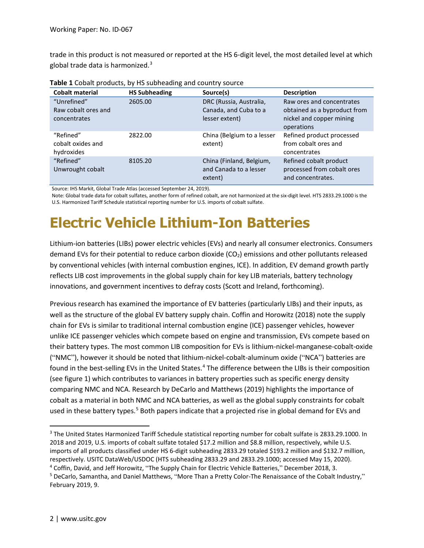trade in this product is not measured or reported at the HS 6-digit level, the most detailed level at which global trade data is harmonized.<sup>[3](#page-7-0)</sup>

| $\frac{1}{2}$ and $\frac{1}{2}$ contracts to the statistic contract the country source |                      |                                                               |                                                                           |  |  |  |
|----------------------------------------------------------------------------------------|----------------------|---------------------------------------------------------------|---------------------------------------------------------------------------|--|--|--|
| <b>Cobalt material</b>                                                                 | <b>HS Subheading</b> | Source(s)                                                     | <b>Description</b>                                                        |  |  |  |
| "Unrefined"                                                                            | 2605.00              | DRC (Russia, Australia,                                       | Raw ores and concentrates                                                 |  |  |  |
| Raw cobalt ores and                                                                    |                      | Canada, and Cuba to a                                         | obtained as a byproduct from                                              |  |  |  |
| concentrates                                                                           |                      | lesser extent)                                                | nickel and copper mining<br>operations                                    |  |  |  |
| "Refined"<br>cobalt oxides and<br>hydroxides                                           | 2822.00              | China (Belgium to a lesser<br>extent)                         | Refined product processed<br>from cobalt ores and<br>concentrates         |  |  |  |
| "Refined"<br>Unwrought cobalt                                                          | 8105.20              | China (Finland, Belgium,<br>and Canada to a lesser<br>extent) | Refined cobalt product<br>processed from cobalt ores<br>and concentrates. |  |  |  |

| Table 1 Cobalt products, by HS subheading and country source |  |  |
|--------------------------------------------------------------|--|--|
|--------------------------------------------------------------|--|--|

Source: IHS Markit, Global Trade Atlas (accessed September 24, 2019).

Note: Global trade data for cobalt sulfates, another form of refined cobalt, are not harmonized at the six-digit level. HTS 2833.29.1000 is the U.S. Harmonized Tariff Schedule statistical reporting number for U.S. imports of cobalt sulfate.

#### **Electric Vehicle Lithium-Ion Batteries**

Lithium-ion batteries (LIBs) power electric vehicles (EVs) and nearly all consumer electronics. Consumers demand EVs for their potential to reduce carbon dioxide (CO<sub>2</sub>) emissions and other pollutants released by conventional vehicles (with internal combustion engines, ICE). In addition, EV demand growth partly reflects LIB cost improvements in the global supply chain for key LIB materials, battery technology innovations, and government incentives to defray costs (Scott and Ireland, forthcoming).

 unlike ICE passenger vehicles which compete based on engine and transmission, EVs compete based on (see figure 1) which contributes to variances in battery properties such as specific energy density comparing NMC and NCA. Research by DeCarlo and Matthews (2019) highlights the importance of Previous research has examined the importance of EV batteries (particularly LIBs) and their inputs, as well as the structure of the global EV battery supply chain. Coffin and Horowitz (2018) note the supply chain for EVs is similar to traditional internal combustion engine (ICE) passenger vehicles, however their battery types. The most common LIB composition for EVs is lithium-nickel-manganese-cobalt-oxide ("NMC"), however it should be noted that lithium-nickel-cobalt-aluminum oxide ("NCA") batteries are found in the best-selling EVs in the United States.<sup>[4](#page-7-1)</sup> The difference between the LIBs is their composition cobalt as a material in both NMC and NCA batteries, as well as the global supply constraints for cobalt used in these battery types.<sup>5</sup> Both papers indicate that a projected rise in global demand for EVs and

<span id="page-7-0"></span>respectively. USITC DataWeb/USDOC (HTS subheading 2833.29 and 2833.29.1000; accessed May 15, 2020). 3 The United States Harmonized Tariff Schedule statistical reporting number for cobalt sulfate is 2833.29.1000. In 2018 and 2019, U.S. imports of cobalt sulfate totaled \$17.2 million and \$8.8 million, respectively, while U.S. imports of all products classified under HS 6-digit subheading 2833.29 totaled \$193.2 million and \$132.7 million,

<span id="page-7-2"></span>

<span id="page-7-1"></span><sup>&</sup>lt;sup>4</sup> Coffin, David, and Jeff Horowitz, "The Supply Chain for Electric Vehicle Batteries," December 2018, 3.<br><sup>5</sup> DeCarlo, Samantha, and Daniel Matthews, "More Than a Pretty Color-The Renaissance of the Cobalt Industry," February 2019, 9.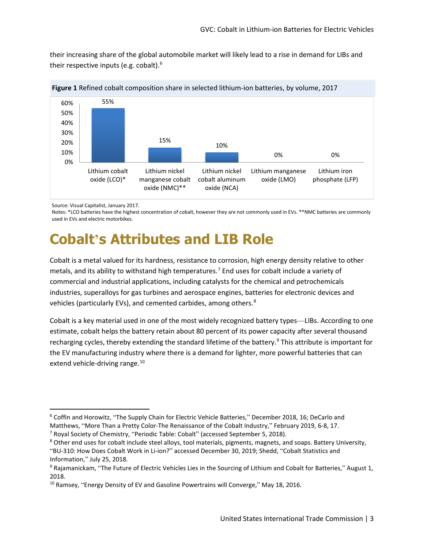their increasing share of the global automobile market will likely lead to a rise in demand for LIBs and their respective inputs (e.g. cobalt).[6](#page-8-0) 





Source: Visual Capitalist, January 2017.

Notes: \*LCO batteries have the highest concentration of cobalt, however they are not commonly used in EVs. \*\*NMC batteries are commonly used in EVs and electric motorbikes.

### **Cobalt's Attributes and LIB Role**

 Cobalt is a metal valued for its hardness, resistance to corrosion, high energy density relative to other vehicles (particularly EVs), and cemented carbides, among others.<sup>8</sup> metals, and its ability to withstand high temperatures.<sup>[7](#page-8-1)</sup> End uses for cobalt include a variety of commercial and industrial applications, including catalysts for the chemical and petrochemicals industries, superalloys for gas turbines and aerospace engines, batteries for electronic devices and

 Cobalt is a key material used in one of the most widely recognized battery types—LIBs. According to one extend vehicle-driving range.<sup>[10](#page-8-4)</sup> estimate, cobalt helps the battery retain about 80 percent of its power capacity after several thousand recharging cycles, thereby extending the standard lifetime of the battery.<sup>[9](#page-8-3)</sup> This attribute is important for the EV manufacturing industry where there is a demand for lighter, more powerful batteries that can

<span id="page-8-0"></span><sup>6</sup> Coffin and Horowitz, "The Supply Chain for Electric Vehicle Batteries," December 2018, 16; DeCarlo and Matthews, "More Than a Pretty Color-The Renaissance of the Cobalt Industry," February 2019, 6-8, 17.<br><sup>7</sup> Royal Society of Chemistry, "Periodic Table: Cobalt" (accessed September 5, 2018).<br><sup>8</sup> Other end uses for cobalt incl

<span id="page-8-1"></span>

<span id="page-8-2"></span><sup>&</sup>quot;BU-310: How Does Cobalt Work in Li-ion?" accessed December 30, 2019; Shedd, "Cobalt Statistics and Information," July 25, 2018.<br><sup>9</sup> Rajamanickam, "The Future of Electric Vehicles Lies in the Sourcing of Lithium and Cobalt for Batteries," August 1,

<span id="page-8-3"></span><sup>2018.</sup> 

<span id="page-8-4"></span><sup>&</sup>lt;sup>10</sup> Ramsey, "Energy Density of EV and Gasoline Powertrains will Converge," May 18, 2016.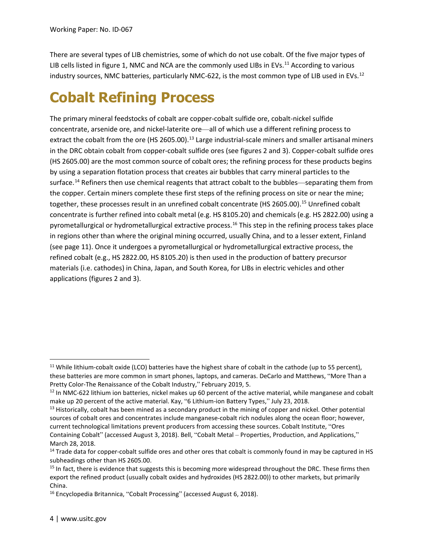There are several types of LIB chemistries, some of which do not use cobalt. Of the five major types of LIB cells listed in figure 1, NMC and NCA are the commonly used LIBs in EVs.<sup>11</sup> According to various industry sources, NMC batteries, particularly NMC-622, is the most common type of LIB used in EVs.<sup>[12](#page-9-1)</sup>

### **Cobalt Refining Process**

 concentrate, arsenide ore, and nickel-laterite ore—all of which use a different refining process to extract the cobalt from the ore (HS 2605.00).<sup>[13](#page-9-2)</sup> Large industrial-scale miners and smaller artisanal miners in the DRC obtain cobalt from copper-cobalt sulfide ores (see figures 2 and 3). Copper-cobalt sulfide ores (HS 2605.00) are the most common source of cobalt ores; the refining process for these products begins by using a separation flotation process that creates air bubbles that carry mineral particles to the the copper. Certain miners complete these first steps of the refining process on site or near the mine; in regions other than where the original mining occurred, usually China, and to a lesser extent, Finland (see page 11). Once it undergoes a pyrometallurgical or hydrometallurgical extractive process, the materials (i.e. cathodes) in China, Japan, and South Korea, for LIBs in electric vehicles and other applications (figures 2 and 3). The primary mineral feedstocks of cobalt are copper-cobalt sulfide ore, cobalt-nickel sulfide surface.<sup>14</sup> Refiners then use chemical reagents that attract cobalt to the bubbles—separating them from together, these processes result in an unrefined cobalt concentrate (HS 2605.00).<sup>15</sup> Unrefined cobalt concentrate is further refined into cobalt metal (e.g. HS 8105.20) and chemicals (e.g. HS 2822.00) using a pyrometallurgical or hydrometallurgical extractive process.[16](#page-9-5) This step in the refining process takes place refined cobalt (e.g., HS 2822.00, HS 8105.20) is then used in the production of battery precursor

<span id="page-9-0"></span> $11$  While lithium-cobalt oxide (LCO) batteries have the highest share of cobalt in the cathode (up to 55 percent), these batteries are more common in smart phones, laptops, and cameras. DeCarlo and Matthews, "More Than a Pretty Color-The Renaissance of the Cobalt Industry," February 2019, 5.<br><sup>12</sup> In NMC-622 lithium ion batteries, nickel makes up 60 percent of the active material, while manganese and cobalt

<span id="page-9-1"></span>

<span id="page-9-2"></span> current technological limitations prevent producers from accessing these sources. Cobalt Institute, "Ores make up 20 percent of the active material. Kay, "6 Lithium-ion Battery Types," July 23, 2018.<br><sup>13</sup> Historically, cobalt has been mined as a secondary product in the mining of copper and nickel. Other potential sources of cobalt ores and concentrates include manganese-cobalt rich nodules along the ocean floor; however, Containing Cobalt" (accessed August 3, 2018). Bell, "Cobalt Metal – Properties, Production, and Applications," March 28, 2018.

<span id="page-9-3"></span>subheadings other than HS 2605.00. <sup>14</sup> Trade data for copper-cobalt sulfide ores and other ores that cobalt is commonly found in may be captured in HS

<span id="page-9-4"></span> $15$  In fact, there is evidence that suggests this is becoming more widespread throughout the DRC. These firms then export the refined product (usually cobalt oxides and hydroxides (HS 2822.00)) to other markets, but primarily China.

<span id="page-9-5"></span><sup>&</sup>lt;sup>16</sup> Encyclopedia Britannica, "Cobalt Processing" (accessed August 6, 2018).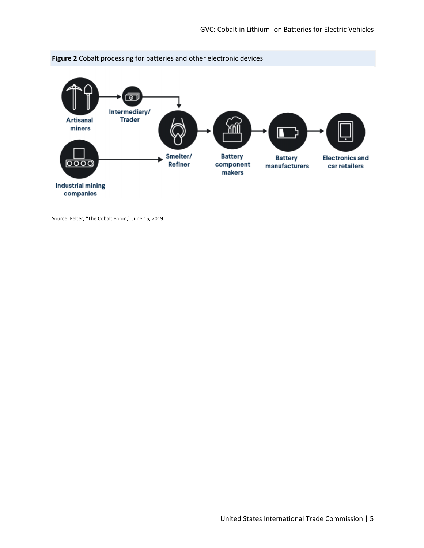



Source: Felter, "The Cobalt Boom," June 15, 2019.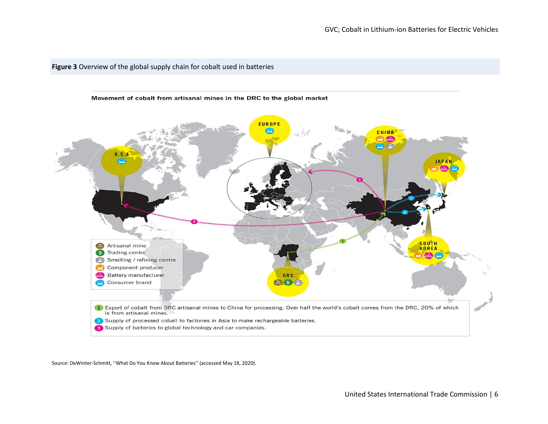#### **Figure 3** Overview of the global supply chain for cobalt used in batteries



Source: DeWinter-Schmitt, "What Do You Know About Batteries" (accessed May 18, 2020).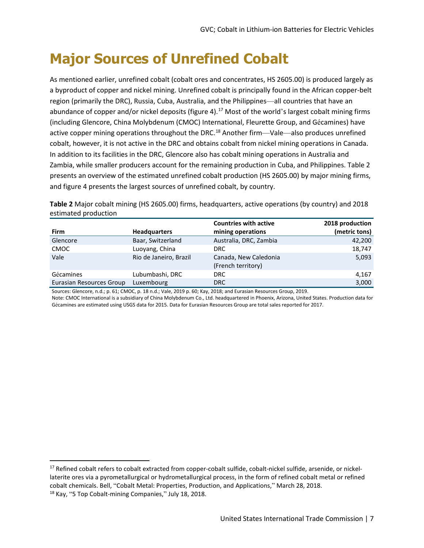### **Major Sources of Unrefined Cobalt**

 a byproduct of copper and nickel mining. Unrefined cobalt is principally found in the African copper-belt region (primarily the DRC), Russia, Cuba, Australia, and the Philippines—all countries that have an abundance of copper and/or nickel deposits (figure 4).<sup>[17](#page-12-0)</sup> Most of the world's largest cobalt mining firms active copper mining operations throughout the DRC.<sup>[18](#page-12-1)</sup> Another firm—Vale—also produces unrefined Zambia, while smaller producers account for the remaining production in Cuba, and Philippines. Table 2 presents an overview of the estimated unrefined cobalt production (HS 2605.00) by major mining firms, As mentioned earlier, unrefined cobalt (cobalt ores and concentrates, HS 2605.00) is produced largely as (including Glencore, China Molybdenum (CMOC) International, Fleurette Group, and Gécamines) have cobalt, however, it is not active in the DRC and obtains cobalt from nickel mining operations in Canada. In addition to its facilities in the DRC, Glencore also has cobalt mining operations in Australia and and figure 4 presents the largest sources of unrefined cobalt, by country.

 **Table 2** Major cobalt mining (HS 2605.00) firms, headquarters, active operations (by country) and 2018 estimated production

|                          |                        | <b>Countries with active</b>                | 2018 production |
|--------------------------|------------------------|---------------------------------------------|-----------------|
| Firm                     | <b>Headquarters</b>    | mining operations                           | (metric tons)   |
| Glencore                 | Baar, Switzerland      | Australia, DRC, Zambia                      | 42,200          |
| <b>CMOC</b>              | Luoyang, China         | DRC.                                        | 18,747          |
| Vale                     | Rio de Janeiro, Brazil | Canada, New Caledonia<br>(French territory) | 5,093           |
| Gécamines                | Lubumbashi, DRC        | <b>DRC</b>                                  | 4,167           |
| Eurasian Resources Group | Luxembourg             | DRC                                         | 3,000           |

Sources: Glencore, n.d.; p. 61; CMOC, p. 18 n.d.; Vale, 2019 p. 60; Kay, 2018; and Eurasian Resources Group, 2019.

Note: CMOC International is a subsidiary of China Molybdenum Co., Ltd. headquartered in Phoenix, Arizona, United States. Production data for Gécamines are estimated using USGS data for 2015. Data for Eurasian Resources Group are total sales reported for 2017.

<span id="page-12-1"></span><span id="page-12-0"></span><sup>&</sup>lt;sup>17</sup> Refined cobalt refers to cobalt extracted from copper-cobalt sulfide, cobalt-nickel sulfide, arsenide, or nickellaterite ores via a pyrometallurgical or hydrometallurgical process, in the form of refined cobalt metal or refined cobalt chemicals. Bell, "Cobalt Metal: Properties, Production, and Applications," March 28, 2018. 18<br><sup>18</sup> Kay, "5 Top Cobalt-mining Companies," July 18, 2018.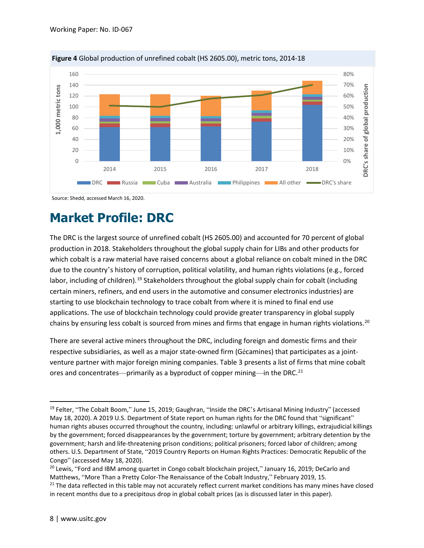

**Figure 4** Global production of unrefined cobalt (HS 2605.00), metric tons, 2014-18

Source: Shedd, accessed March 16, 2020.

#### **Market Profile: DRC**

 The DRC is the largest source of unrefined cobalt (HS 2605.00) and accounted for 70 percent of global which cobalt is a raw material have raised concerns about a global reliance on cobalt mined in the DRC labor, including of children).<sup>19</sup> Stakeholders throughout the global supply chain for cobalt (including starting to use blockchain technology to trace cobalt from where it is mined to final end use production in 2018. Stakeholders throughout the global supply chain for LIBs and other products for due to the country's history of corruption, political volatility, and human rights violations (e.g., forced certain miners, refiners, and end users in the automotive and consumer electronics industries) are applications. The use of blockchain technology could provide greater transparency in global supply chains by ensuring less cobalt is sourced from mines and firms that engage in human rights violations.<sup>20</sup>

 venture partner with major foreign mining companies. Table 3 presents a list of firms that mine cobalt ores and concentrates—primarily as a byproduct of copper mining—in the DRC.<sup>21</sup> There are several active miners throughout the DRC, including foreign and domestic firms and their respective subsidiaries, as well as a major state-owned firm (Gécamines) that participates as a joint-

<span id="page-13-0"></span><sup>&</sup>lt;sup>19</sup> Felter, "The Cobalt Boom," June 15, 2019; Gaughran, "Inside the DRC's Artisanal Mining Industry" (accessed May 18, 2020). A 2019 U.S. Department of State report on human rights for the DRC found that "significant" human rights abuses occurred throughout the country, including: unlawful or arbitrary killings, extrajudicial killings by the government; forced disappearances by the government; torture by government; arbitrary detention by the government; harsh and life-threatening prison conditions; political prisoners; forced labor of children; among others. U.S. Department of State, "2019 Country Reports on Human Rights Practices: Democratic Republic of the Congo" (accessed May 18, 2020).<br><sup>20</sup> Lewis, "Ford and IBM among quartet in Congo cobalt blockchain project," January 16, 2019; DeCarlo and

<span id="page-13-1"></span>Matthews, "More Than a Pretty Color-The Renaissance of the Cobalt Industry," February 2019, 15.

<span id="page-13-2"></span><sup>&</sup>lt;sup>21</sup> The data reflected in this table may not accurately reflect current market conditions has many mines have closed in recent months due to a precipitous drop in global cobalt prices (as is discussed later in this paper).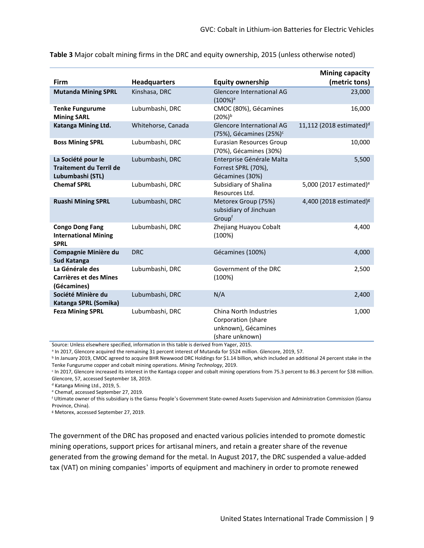|                                                                          |                     |                                                                                        | <b>Mining capacity</b>               |
|--------------------------------------------------------------------------|---------------------|----------------------------------------------------------------------------------------|--------------------------------------|
| Firm                                                                     | <b>Headquarters</b> | <b>Equity ownership</b>                                                                | (metric tons)                        |
| <b>Mutanda Mining SPRL</b>                                               | Kinshasa, DRC       | Glencore International AG<br>$(100\%)^a$                                               | 23,000                               |
| <b>Tenke Fungurume</b><br><b>Mining SARL</b>                             | Lubumbashi, DRC     | CMOC (80%), Gécamines<br>$(20%)^b$                                                     | 16,000                               |
| Katanga Mining Ltd.                                                      | Whitehorse, Canada  | <b>Glencore International AG</b><br>$(75%)$ , Gécamines $(25%)^c$                      | 11,112 (2018 estimated) <sup>d</sup> |
| <b>Boss Mining SPRL</b>                                                  | Lubumbashi, DRC     | <b>Eurasian Resources Group</b><br>(70%), Gécamines (30%)                              | 10,000                               |
| La Société pour le<br><b>Traitement du Terril de</b><br>Lubumbashi (STL) | Lubumbashi, DRC     | Enterprise Générale Malta<br>Forrest SPRL (70%),<br>Gécamines (30%)                    | 5,500                                |
| <b>Chemaf SPRL</b>                                                       | Lubumbashi, DRC     | Subsidiary of Shalina<br>Resources Ltd.                                                | 5,000 (2017 estimated) <sup>e</sup>  |
| <b>Ruashi Mining SPRL</b>                                                | Lubumbashi, DRC     | Metorex Group (75%)<br>subsidiary of Jinchuan<br>Groupf                                | 4,400 (2018 estimated) <sup>8</sup>  |
| <b>Congo Dong Fang</b><br><b>International Mining</b><br><b>SPRL</b>     | Lubumbashi, DRC     | Zhejiang Huayou Cobalt<br>(100%)                                                       | 4,400                                |
| Compagnie Minière du<br><b>Sud Katanga</b>                               | <b>DRC</b>          | Gécamines (100%)                                                                       | 4,000                                |
| La Générale des<br><b>Carrières et des Mines</b><br>(Gécamines)          | Lubumbashi, DRC     | Government of the DRC<br>(100%)                                                        | 2,500                                |
| Société Minière du<br>Katanga SPRL (Somika)                              | Lubumbashi, DRC     | N/A                                                                                    | 2,400                                |
| <b>Feza Mining SPRL</b>                                                  | Lubumbashi, DRC     | China North Industries<br>Corporation (share<br>unknown), Gécamines<br>(share unknown) | 1,000                                |

**Table 3** Major cobalt mining firms in the DRC and equity ownership, 2015 (unless otherwise noted)

Source: Unless elsewhere specified, information in this table is derived from Yager, 2015.

<sup>a</sup> In 2017, Glencore acquired the remaining 31 percent interest of Mutanda for \$524 million. Glencore, 2019, 57.

<sup>b</sup> In January 2019, CMOC agreed to acquire BHR Newwood DRC Holdings for \$1.14 billion, which included an additional 24 percent stake in the Tenke Fungurume copper and cobalt mining operations. Mining Technology, 2019.<br>
In 2017, Glencore increased its interest in the Kantaga copper and cobalt mining operations from 75.3 percent to 86.3 percent for \$38 million.

Glencore, 57, accessed September 18, 2019.

d Katanga Mining Ltd., 2019, 5.

e Chemaf, accessed September 27, 2019.

f Ultimate owner of this subsidiary is the Gansu People's Government State-owned Assets Supervision and Administration Commission (Gansu Province, China).

g Metorex, accessed September 27, 2019.

 tax (VAT) on mining companies' imports of equipment and machinery in order to promote renewed The government of the DRC has proposed and enacted various policies intended to promote domestic mining operations, support prices for artisanal miners, and retain a greater share of the revenue generated from the growing demand for the metal. In August 2017, the DRC suspended a value-added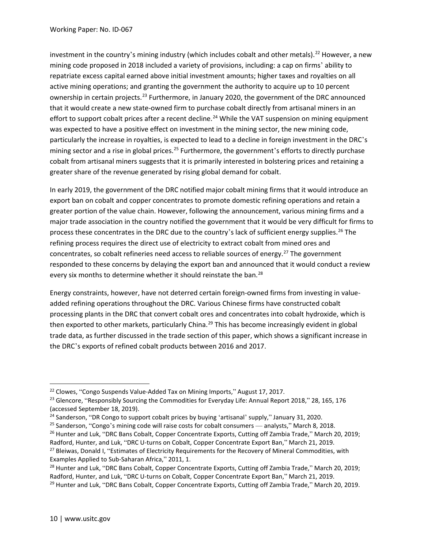mining code proposed in 2018 included a variety of provisions, including: a cap on firms' ability to repatriate excess capital earned above initial investment amounts; higher taxes and royalties on all effort to support cobalt prices after a recent decline.<sup>[24](#page-15-2)</sup> While the VAT suspension on mining equipment particularly the increase in royalties, is expected to lead to a decline in foreign investment in the DRC's greater share of the revenue generated by rising global demand for cobalt. investment in the country's mining industry (which includes cobalt and other metals).<sup>[22](#page-15-0)</sup> However, a new active mining operations; and granting the government the authority to acquire up to 10 percent ownership in certain projects.<sup>23</sup> Furthermore, in January 2020, the government of the DRC announced that it would create a new state-owned firm to purchase cobalt directly from artisanal miners in an was expected to have a positive effect on investment in the mining sector, the new mining code, mining sector and a rise in global prices.<sup>[25](#page-15-3)</sup> Furthermore, the government's efforts to directly purchase cobalt from artisanal miners suggests that it is primarily interested in bolstering prices and retaining a

 refining process requires the direct use of electricity to extract cobalt from mined ores and concentrates, so cobalt refineries need access to reliable sources of energy.<sup>27</sup> The government responded to these concerns by delaying the export ban and announced that it would conduct a review every six months to determine whether it should reinstate the ban.<sup>28</sup> In early 2019, the government of the DRC notified major cobalt mining firms that it would introduce an export ban on cobalt and copper concentrates to promote domestic refining operations and retain a greater portion of the value chain. However, following the announcement, various mining firms and a major trade association in the country notified the government that it would be very difficult for firms to process these concentrates in the DRC due to the country's lack of sufficient energy supplies.<sup>[26](#page-15-4)</sup> The

 processing plants in the DRC that convert cobalt ores and concentrates into cobalt hydroxide, which is trade data, as further discussed in the trade section of this paper, which shows a significant increase in the DRC's exports of refined cobalt products between 2016 and 2017. Energy constraints, however, have not deterred certain foreign-owned firms from investing in valueadded refining operations throughout the DRC. Various Chinese firms have constructed cobalt then exported to other markets, particularly China.<sup>29</sup> This has become increasingly evident in global

<span id="page-15-4"></span>

<span id="page-15-1"></span><span id="page-15-0"></span><sup>&</sup>lt;sup>22</sup> Clowes, "Congo Suspends Value-Added Tax on Mining Imports," August 17, 2017.

<sup>&</sup>lt;sup>22</sup> Clowes, "Congo Suspends Value-Added Tax on Mining Imports," August 17, 2017.<br><sup>23</sup> Glencore, "Responsibly Sourcing the Commodities for Everyday Life: Annual Report 2018," 28, 165, 176

<span id="page-15-3"></span><span id="page-15-2"></span><sup>&</sup>lt;sup>24</sup> Sanderson, "DR Congo to support cobalt prices by buying 'artisanal' supply," January 31, 2020.

<sup>&</sup>lt;sup>25</sup> Sanderson, "Congo's mining code will raise costs for cobalt consumers — analysts," March 8, 2018. (accessed September 18, 2019).<br><sup>24</sup> Sanderson, "DR Congo to support cobalt prices by buying 'artisanal' supply," January 31, 2020.<br><sup>25</sup> Sanderson, "Congo's mining code will raise costs for cobalt consumers — analysts," Mar

<span id="page-15-5"></span>Radford, Hunter, and Luk, "DRC U-turns on Cobalt, Copper Concentrate Export Ban," March 21, 2019.<br><sup>27</sup> Bleiwas, Donald I, "Estimates of Electricity Requirements for the Recovery of Mineral Commodities, with

<span id="page-15-6"></span>Examples Applied to Sub-Saharan Africa," 2011, 1.<br><sup>28</sup> Hunter and Luk, "DRC Bans Cobalt, Copper Concentrate Exports, Cutting off Zambia Trade," March 20, 2019;<br>Radford, Hunter, and Luk, "DRC U-turns on Cobalt, Copper Conce

<span id="page-15-7"></span><sup>&</sup>lt;sup>29</sup> Hunter and Luk, "DRC Bans Cobalt, Copper Concentrate Exports, Cutting off Zambia Trade," March 20, 2019.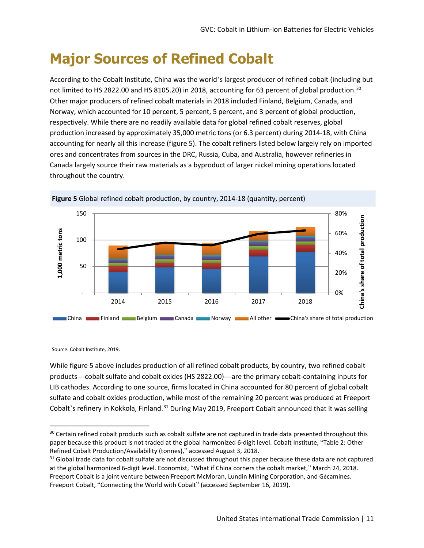### **Major Sources of Refined Cobalt**

not limited to HS 2822.00 and HS 8105.20) in 2018, accounting for 63 percent of global production.<sup>30</sup> Other major producers of refined cobalt materials in 2018 included Finland, Belgium, Canada, and Norway, which accounted for 10 percent, 5 percent, 5 percent, and 3 percent of global production, production increased by approximately 35,000 metric tons (or 6.3 percent) during 2014-18, with China throughout the country. According to the Cobalt Institute, China was the world's largest producer of refined cobalt (including but respectively. While there are no readily available data for global refined cobalt reserves, global accounting for nearly all this increase (figure 5). The cobalt refiners listed below largely rely on imported ores and concentrates from sources in the DRC, Russia, Cuba, and Australia, however refineries in Canada largely source their raw materials as a byproduct of larger nickel mining operations located





Source: Cobalt Institute, 2019.

Source: Cobalt Institute, 2019.<br>While figure 5 above includes production of all refined cobalt products, by country, two refined cobalt products—cobalt sulfate and cobalt oxides (HS 2822.00)—are the primary cobalt-containing inputs for LIB cathodes. According to one source, firms located in China accounted for 80 percent of global cobalt sulfate and cobalt oxides production, while most of the remaining 20 percent was produced at Freeport Cobalt's refinery in Kokkola, Finland.<sup>[31](#page-16-1)</sup> During May 2019, Freeport Cobalt announced that it was selling

<span id="page-16-0"></span><sup>&</sup>lt;sup>30</sup> Certain refined cobalt products such as cobalt sulfate are not captured in trade data presented throughout this paper because this product is not traded at the global harmonized 6-digit level. Cobalt Institute, "Table 2: Other

<span id="page-16-1"></span>Refined Cobalt Production/Availability (tonnes)," accessed August 3, 2018.<br><sup>31</sup> Global trade data for cobalt sulfate are not discussed throughout this paper because these data are not captured at the global harmonized 6-digit level. Economist, "What if China corners the cobalt market," March 24, 2018. Freeport Cobalt is a joint venture between Freeport McMoran, Lundin Mining Corporation, and Gécamines. Freeport Cobalt, "Connecting the World with Cobalt" (accessed September 16, 2019).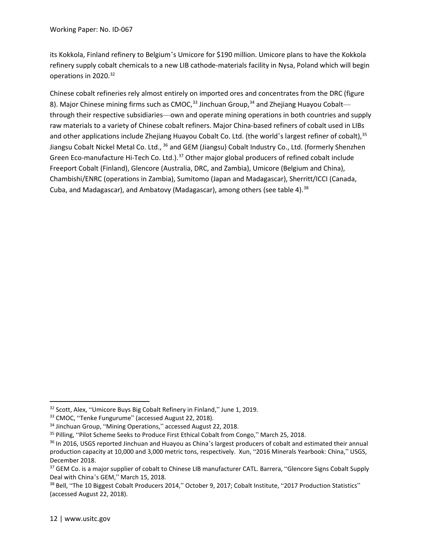refinery supply cobalt chemicals to a new LIB cathode-materials facility in Nysa, Poland which will begin operations in 2020.<sup>[32](#page-17-0)</sup> its Kokkola, Finland refinery to Belgium's Umicore for \$190 million. Umicore plans to have the Kokkola

 through their respective subsidiaries—own and operate mining operations in both countries and supply raw materials to a variety of Chinese cobalt refiners. Major China-based refiners of cobalt used in LIBs and other applications include Zhejiang Huayou Cobalt Co. Ltd. (the world's largest refiner of cobalt), [35](#page-17-3) Cuba, and Madagascar), and Ambatovy (Madagascar), among others (see table 4).<sup>38</sup> Chinese cobalt refineries rely almost entirely on imported ores and concentrates from the DRC (figure 8). Major Chinese mining firms such as CMOC,  $33$  Jinchuan Group,  $34$  and Zhejiang Huayou Cobalt— Jiangsu Cobalt Nickel Metal Co. Ltd., <sup>36</sup> and GEM (Jiangsu) Cobalt Industry Co., Ltd. (formerly Shenzhen Green Eco-manufacture Hi-Tech Co. Ltd.).<sup>[37](#page-17-5)</sup> Other major global producers of refined cobalt include Freeport Cobalt (Finland), Glencore (Australia, DRC, and Zambia), Umicore (Belgium and China), Chambishi/ENRC (operations in Zambia), Sumitomo (Japan and Madagascar), Sherritt/ICCI (Canada,

<span id="page-17-1"></span>

<span id="page-17-2"></span>

<span id="page-17-0"></span><sup>&</sup>lt;sup>32</sup> Scott, Alex, "Umicore Buys Big Cobalt Refinery in Finland," June 1, 2019.<br><sup>33</sup> CMOC, "Tenke Fungurume" (accessed August 22, 2018).<br><sup>34</sup> Jinchuan Group, "Mining Operations," accessed August 22, 2018.<br><sup>35</sup> Pilling, "Pil

<span id="page-17-4"></span><span id="page-17-3"></span> production capacity at 10,000 and 3,000 metric tons, respectively. Xun, "2016 Minerals Yearbook: China," USGS, December 2018.<br><sup>37</sup> GEM Co. is a major supplier of cobalt to Chinese LIB manufacturer CATL. Barrera, "Glencore Signs Cobalt Supply

<span id="page-17-5"></span>Deal with China's GEM," March 15, 2018.<br><sup>38</sup> Bell, "The 10 Biggest Cobalt Producers 2014," October 9, 2017; Cobalt Institute, "2017 Production Statistics"

<span id="page-17-6"></span><sup>(</sup>accessed August 22, 2018).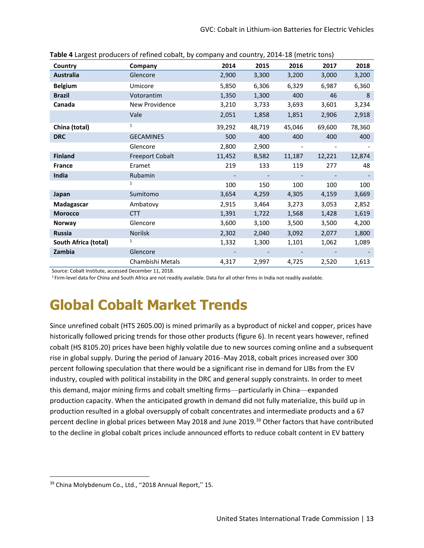| Country              | Company                | 2014   | 2015   | 2016                     | 2017   | 2018   |
|----------------------|------------------------|--------|--------|--------------------------|--------|--------|
| <b>Australia</b>     | Glencore               | 2,900  | 3,300  | 3,200                    | 3,000  | 3,200  |
| <b>Belgium</b>       | Umicore                | 5,850  | 6,306  | 6,329                    | 6,987  | 6,360  |
| <b>Brazil</b>        | Votorantim             | 1,350  | 1,300  | 400                      | 46     | 8      |
| Canada               | New Providence         | 3,210  | 3,733  | 3,693                    | 3,601  | 3,234  |
|                      | Vale                   | 2,051  | 1,858  | 1,851                    | 2,906  | 2,918  |
| China (total)        | $\mathbf{1}$           | 39,292 | 48,719 | 45,046                   | 69,600 | 78,360 |
| <b>DRC</b>           | <b>GECAMINES</b>       | 500    | 400    | 400                      | 400    | 400    |
|                      | Glencore               | 2,800  | 2,900  | $\overline{\phantom{a}}$ |        |        |
| <b>Finland</b>       | <b>Freeport Cobalt</b> | 11,452 | 8,582  | 11,187                   | 12,221 | 12,874 |
| <b>France</b>        | Eramet                 | 219    | 133    | 119                      | 277    | 48     |
| India                | Rubamin                |        |        |                          |        |        |
|                      | $\mathbf{1}$           | 100    | 150    | 100                      | 100    | 100    |
| Japan                | Sumitomo               | 3,654  | 4,259  | 4,305                    | 4,159  | 3,669  |
| Madagascar           | Ambatovy               | 2,915  | 3,464  | 3,273                    | 3,053  | 2,852  |
| <b>Morocco</b>       | <b>CTT</b>             | 1,391  | 1,722  | 1,568                    | 1,428  | 1,619  |
| Norway               | Glencore               | 3,600  | 3,100  | 3,500                    | 3,500  | 4,200  |
| <b>Russia</b>        | Norilsk                | 2,302  | 2,040  | 3,092                    | 2,077  | 1,800  |
| South Africa (total) | 1                      | 1,332  | 1,300  | 1,101                    | 1,062  | 1,089  |
| Zambia               | Glencore               |        |        |                          |        |        |
|                      | Chambishi Metals       | 4,317  | 2,997  | 4,725                    | 2,520  | 1,613  |

|  |  | Table 4 Largest producers of refined cobalt, by company and country, 2014-18 (metric tons) |
|--|--|--------------------------------------------------------------------------------------------|
|--|--|--------------------------------------------------------------------------------------------|

Source: Cobalt Institute, accessed December 11, 2018.

<sup>1</sup> Firm-level data for China and South Africa are not readily available. Data for all other firms in India not readily available.

### **Global Cobalt Market Trends**

 Since unrefined cobalt (HTS 2605.00) is mined primarily as a byproduct of nickel and copper, prices have rise in global supply. During the period of January 2016–May 2018, cobalt prices increased over 300 industry, coupled with political instability in the DRC and general supply constraints. In order to meet historically followed pricing trends for those other products (figure 6). In recent years however, refined cobalt (HS 8105.20) prices have been highly volatile due to new sources coming online and a subsequent percent following speculation that there would be a significant rise in demand for LIBs from the EV this demand, major mining firms and cobalt smelting firms—particularly in China—expanded production capacity. When the anticipated growth in demand did not fully materialize, this build up in production resulted in a global oversupply of cobalt concentrates and intermediate products and a 67 percent decline in global prices between May 2018 and June 2019.<sup>[39](#page-18-0)</sup> Other factors that have contributed to the decline in global cobalt prices include announced efforts to reduce cobalt content in EV battery

<span id="page-18-0"></span><sup>39</sup> China Molybdenum Co., Ltd., "2018 Annual Report," 15.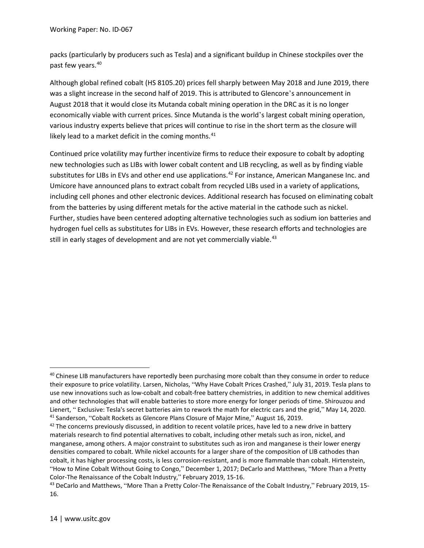packs (particularly by producers such as Tesla) and a significant buildup in Chinese stockpiles over the past few years.<sup>40</sup>

 Although global refined cobalt (HS 8105.20) prices fell sharply between May 2018 and June 2019, there August 2018 that it would close its Mutanda cobalt mining operation in the DRC as it is no longer economically viable with current prices. Since Mutanda is the world's largest cobalt mining operation, various industry experts believe that prices will continue to rise in the short term as the closure will likely lead to a market deficit in the coming months. $41$ was a slight increase in the second half of 2019. This is attributed to Glencore's announcement in

 new technologies such as LIBs with lower cobalt content and LIB recycling, as well as by finding viable substitutes for LIBs in EVs and other end use applications.<sup>42</sup> For instance, American Manganese Inc. and Umicore have announced plans to extract cobalt from recycled LIBs used in a variety of applications, hydrogen fuel cells as substitutes for LIBs in EVs. However, these research efforts and technologies are still in early stages of development and are not yet commercially viable.<sup>43</sup> Continued price volatility may further incentivize firms to reduce their exposure to cobalt by adopting including cell phones and other electronic devices. Additional research has focused on eliminating cobalt from the batteries by using different metals for the active material in the cathode such as nickel. Further, studies have been centered adopting alternative technologies such as sodium ion batteries and

<span id="page-19-0"></span><sup>&</sup>lt;sup>40</sup> Chinese LIB manufacturers have reportedly been purchasing more cobalt than they consume in order to reduce their exposure to price volatility. Larsen, Nicholas, "Why Have Cobalt Prices Crashed," July 31, 2019. Tesla plans to use new innovations such as low-cobalt and cobalt-free battery chemistries, in addition to new chemical additives and other technologies that will enable batteries to store more energy for longer periods of time. Shirouzou and Lienert, "Exclusive: Tesla's secret batteries aim to rework the math for electric cars and the grid," May 14, 2020.<br><sup>41</sup> Sanderson, "Cobalt Rockets as Glencore Plans Closure of Major Mine," August 16, 2019.<br><sup>42</sup> The concer

<span id="page-19-2"></span><span id="page-19-1"></span>materials research to find potential alternatives to cobalt, including other metals such as iron, nickel, and manganese, among others. A major constraint to substitutes such as iron and manganese is their lower energy densities compared to cobalt. While nickel accounts for a larger share of the composition of LIB cathodes than cobalt, it has higher processing costs, is less corrosion-resistant, and is more flammable than cobalt. Hirtenstein, "How to Mine Cobalt Without Going to Congo," December 1, 2017; DeCarlo and Matthews, "More Than a Pretty

<span id="page-19-3"></span>Color-The Renaissance of the Cobalt Industry," February 2019, 15-16.<br><sup>43</sup> DeCarlo and Matthews, "More Than a Pretty Color-The Renaissance of the Cobalt Industry," February 2019, 15-16.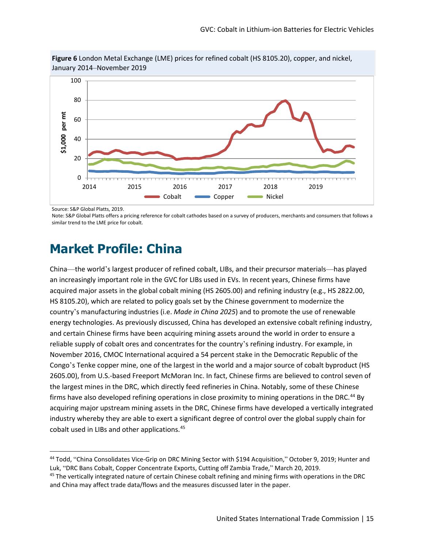

**Figure 6** London Metal Exchange (LME) prices for refined cobalt (HS 8105.20), copper, and nickel, January 2014–November 2019

Source: S&P Global Platts, 2019.

 Note: S&P Global Platts offers a pricing reference for cobalt cathodes based on a survey of producers, merchants and consumers that follows a similar trend to the LME price for cobalt.

#### **Market Profile: China**

 and certain Chinese firms have been acquiring mining assets around the world in order to ensure a November 2016, CMOC International acquired a 54 percent stake in the Democratic Republic of the Congo's Tenke copper mine, one of the largest in the world and a major source of cobalt byproduct (HS the largest mines in the DRC, which directly feed refineries in China. Notably, some of these Chinese firms have also developed refining operations in close proximity to mining operations in the DRC.<sup>44</sup> By industry whereby they are able to exert a significant degree of control over the global supply chain for cobalt used in LIBs and other applications.<sup>[45](#page-20-1)</sup> China—the world's largest producer of refined cobalt, LIBs, and their precursor materials—has played an increasingly important role in the GVC for LIBs used in EVs. In recent years, Chinese firms have acquired major assets in the global cobalt mining (HS 2605.00) and refining industry (e.g., HS 2822.00, HS 8105.20), which are related to policy goals set by the Chinese government to modernize the country's manufacturing industries (i.e. *Made in China 2025*) and to promote the use of renewable energy technologies. As previously discussed, China has developed an extensive cobalt refining industry, reliable supply of cobalt ores and concentrates for the country's refining industry. For example, in 2605.00), from U.S.-based Freeport McMoran Inc. In fact, Chinese firms are believed to control seven of acquiring major upstream mining assets in the DRC, Chinese firms have developed a vertically integrated

<span id="page-20-0"></span><sup>44</sup> Todd, "China Consolidates Vice-Grip on DRC Mining Sector with \$194 Acquisition," October 9, 2019; Hunter and Luk, "DRC Bans Cobalt, Copper Concentrate Exports, Cutting off Zambia Trade," March 20, 2019.<br><sup>45</sup> The vertically integrated nature of certain Chinese cobalt refining and mining firms with operations in the DRC

<span id="page-20-1"></span>and China may affect trade data/flows and the measures discussed later in the paper.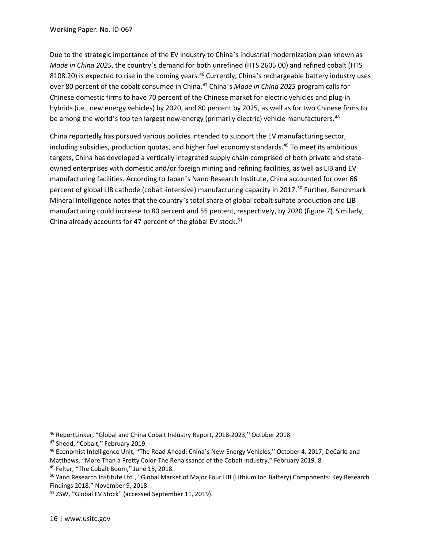Due to the strategic importance of the EV industry to China's industrial modernization plan known as *Made in China 2025*, the country's demand for both unrefined (HTS 2605.00) and refined cobalt (HTS Chinese domestic firms to have 70 percent of the Chinese market for electric vehicles and plug-in hybrids (i.e., new energy vehicles) by 2020, and 80 percent by 2025, as well as for two Chinese firms to be among the world's top ten largest new-energy (primarily electric) vehicle manufacturers.<sup>48</sup> 8108.20) is expected to rise in the coming years.<sup>[46](#page-21-0)</sup> Currently, China's rechargeable battery industry uses over 80 percent of the cobalt consumed in China.[47](#page-21-1) China's *Made in China 2025* program calls for

 owned enterprises with domestic and/or foreign mining and refining facilities, as well as LIB and EV China already accounts for 47 percent of the global EV stock. $51$ China reportedly has pursued various policies intended to support the EV manufacturing sector, including subsidies, production quotas, and higher fuel economy standards. $49$  To meet its ambitious targets, China has developed a vertically integrated supply chain comprised of both private and statemanufacturing facilities. According to Japan's Nano Research Institute, China accounted for over 66 percent of global LIB cathode (cobalt-intensive) manufacturing capacity in 2017.<sup>50</sup> Further, Benchmark Mineral Intelligence notes that the country's total share of global cobalt sulfate production and LIB manufacturing could increase to 80 percent and 55 percent, respectively, by 2020 (figure 7). Similarly,

<span id="page-21-0"></span><sup>&</sup>lt;sup>46</sup> ReportLinker, "Global and China Cobalt Industry Report, 2018-2023," October 2018.

<span id="page-21-2"></span><span id="page-21-1"></span>Matthews, "More Than a Pretty Color-The Renaissance of the Cobalt Industry," February 2019, 8. <sup>47</sup> Shedd, "Cobalt," February 2019.<br><sup>48</sup> Economist Intelligence Unit, "The Road Ahead: China's New-Energy Vehicles," October 4, 2017; DeCarlo and

<span id="page-21-4"></span><span id="page-21-3"></span>Findings 2018," November 9, 2018. <sup>49</sup> Felter, "The Cobalt Boom," June 15, 2018.<br><sup>50</sup> Yano Research Institute Ltd., "Global Market of Major Four LIB (Lithium Ion Battery) Components: Key Research

<span id="page-21-5"></span><sup>&</sup>lt;sup>51</sup> ZSW, "Global EV Stock" (accessed September 11, 2019).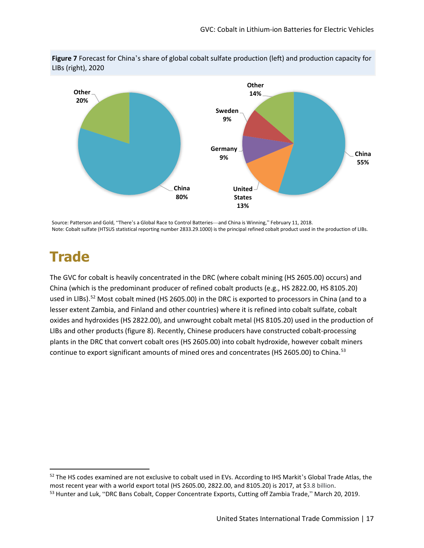**Figure 7** Forecast for China's share of global cobalt sulfate production (left) and production capacity for LIBs (right), 2020



Source: Patterson and Gold, "There's a Global Race to Control Batteries-and China is Winning," February 11, 2018. Note: Cobalt sulfate (HTSUS statistical reporting number 2833.29.1000) is the principal refined cobalt product used in the production of LIBs.

#### **Trade**

 The GVC for cobalt is heavily concentrated in the DRC (where cobalt mining (HS 2605.00) occurs) and China (which is the predominant producer of refined cobalt products (e.g., HS 2822.00, HS 8105.20) used in LIBs).<sup>52</sup> Most cobalt mined (HS 2605.00) in the DRC is exported to processors in China (and to a oxides and hydroxides (HS 2822.00), and unwrought cobalt metal (HS 8105.20) used in the production of LIBs and other products (figure 8). Recently, Chinese producers have constructed cobalt-processing continue to export significant amounts of mined ores and concentrates (HS 2605.00) to China.<sup>53</sup> lesser extent Zambia, and Finland and other countries) where it is refined into cobalt sulfate, cobalt plants in the DRC that convert cobalt ores (HS 2605.00) into cobalt hydroxide, however cobalt miners

<span id="page-22-0"></span><sup>52</sup> The HS codes examined are not exclusive to cobalt used in EVs. According to IHS Markit's Global Trade Atlas, the most recent year with a world export total (HS 2605.00, 2822.00, and 8105.20) is 2017, at \$3.8 billion.<br><sup>53</sup> Hunter and Luk, "DRC Bans Cobalt, Copper Concentrate Exports, Cutting off Zambia Trade," March 20, 2019.

<span id="page-22-1"></span>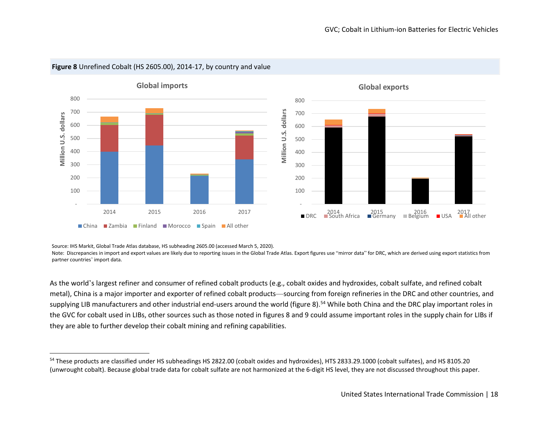

#### <span id="page-23-0"></span>**Figure 8** Unrefined Cobalt (HS 2605.00), 2014-17, by country and value

Source: IHS Markit, Global Trade Atlas database, HS subheading 2605.00 (accessed March 5, 2020).

Note: Discrepancies in import and export values are likely due to reporting issues in the Global Trade Atlas. Export figures use "mirror data" for DRC, which are derived using export statistics from partner countries' import data.

 metal), China is a major importer and exporter of refined cobalt products—sourcing from foreign refineries in the DRC and other countries, and supplying LIB manufacturers and other industrial end-users around the world (figure 8).<sup>54</sup> While both China and the DRC play important roles in the GVC for cobalt used in LIBs, other sources such as those noted in figures 8 and 9 could assume important roles in the supply chain for LIBs if As the world's largest refiner and consumer of refined cobalt products (e.g., cobalt oxides and hydroxides, cobalt sulfate, and refined cobalt they are able to further develop their cobalt mining and refining capabilities.

<sup>&</sup>lt;sup>54</sup> These products are classified under HS subheadings HS 2822.00 (cobalt oxides and hydroxides), HTS 2833.29.1000 (cobalt sulfates), and HS 8105.20 (unwrought cobalt). Because global trade data for cobalt sulfate are not harmonized at the 6-digit HS level, they are not discussed throughout this paper.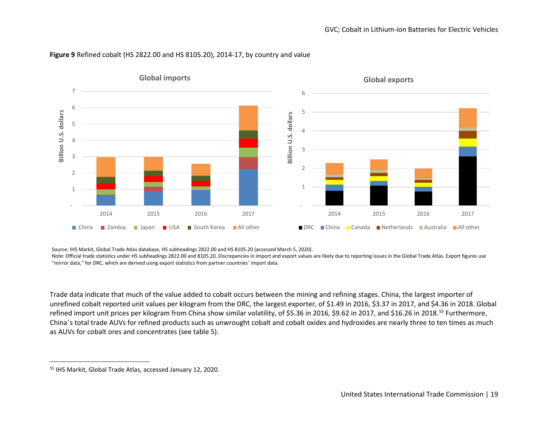

#### <span id="page-24-0"></span>**Figure 9** Refined cobalt (HS 2822.00 and HS 8105.20), 2014-17, by country and value

Source: IHS Markit, Global Trade Atlas database, HS subheadings 2822.00 and HS 8105.20 (accessed March 5, 2020).

 Note: Official trade statistics under HS subheadings 2822.00 and 8105.20. Discrepancies in import and export values are likely due to reporting issues in the Global Trade Atlas. Export figures use "mirror data," for DRC, which are derived using export statistics from partner countries' import data.

 Trade data indicate that much of the value added to cobalt occurs between the mining and refining stages. China, the largest importer of China's total trade AUVs for refined products such as unwrought cobalt and cobalt oxides and hydroxides are nearly three to ten times as much as AUVs for cobalt ores and concentrates (see table 5). unrefined cobalt reported unit values per kilogram from the DRC, the largest exporter, of \$1.49 in 2016, \$3.37 in 2017, and \$4.36 in 2018. Global refined import unit prices per kilogram from China show similar volatility, of \$5.36 in 2016, \$9.62 in 2017, and \$16.26 in 2018.<sup>55</sup> Furthermore,

<sup>55</sup> IHS Markit, Global Trade Atlas, accessed January 12, 2020.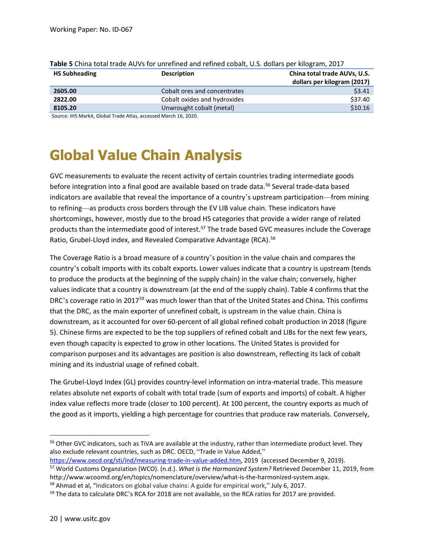| <b>HS Subheading</b> | <b>Description</b>           | China total trade AUVs, U.S.<br>dollars per kilogram (2017) |
|----------------------|------------------------------|-------------------------------------------------------------|
| 2605.00              | Cobalt ores and concentrates | \$3.41                                                      |
| 2822.00              | Cobalt oxides and hydroxides | \$37.40                                                     |
| 8105.20              | Unwrought cobalt (metal)     | \$10.16                                                     |

| Table 5 China total trade AUVs for unrefined and refined cobalt, U.S. dollars per kilogram, 2017 |  |
|--------------------------------------------------------------------------------------------------|--|
|--------------------------------------------------------------------------------------------------|--|

Source: IHS Markit, Global Trade Atlas, accessed March 16, 2020.

### **Global Value Chain Analysis**

 to refining—as products cross borders through the EV LIB value chain. These indicators have shortcomings, however, mostly due to the broad HS categories that provide a wider range of related Ratio, Grubel-Lloyd index, and Revealed Comparative Advantage (RCA).<sup>58</sup> GVC measurements to evaluate the recent activity of certain countries trading intermediate goods before integration into a final good are available based on trade data.<sup>[56](#page-25-0)</sup> Several trade-data based indicators are available that reveal the importance of a country's upstream participation—from mining products than the intermediate good of interest.<sup>[57](#page-25-1)</sup> The trade based GVC measures include the Coverage

 The Coverage Ratio is a broad measure of a country's position in the value chain and compares the values indicate that a country is downstream (at the end of the supply chain). Table 4 confirms that the that the DRC, as the main exporter of unrefined cobalt, is upstream in the value chain. China is downstream, as it accounted for over 60-percent of all global refined cobalt production in 2018 (figure 5). Chinese firms are expected to be the top suppliers of refined cobalt and LIBs for the next few years, comparison purposes and its advantages are position is also downstream, reflecting its lack of cobalt country's cobalt imports with its cobalt exports. Lower values indicate that a country is upstream (tends to produce the products at the beginning of the supply chain) in the value chain; conversely, higher DRC's coverage ratio in 2017[59](#page-25-3) was much lower than that of the United States and China**.** This confirms even though capacity is expected to grow in other locations. The United States is provided for mining and its industrial usage of refined cobalt.

 relates absolute net exports of cobalt with total trade (sum of exports and imports) of cobalt. A higher index value reflects more trade (closer to 100 percent). At 100 percent, the country exports as much of The Grubel-Lloyd Index (GL) provides country-level information on intra-material trade. This measure the good as it imports, yielding a high percentage for countries that produce raw materials. Conversely,

<span id="page-25-1"></span>https://www.oecd.org/sti/ind/measuring-trade-in-value-added.htm, 2019 (accessed December 9, 2019). <sup>57</sup> World Customs Organziation (WCO). (n.d.). *What is the Harmonized System?* Retrieved December 11, 2019, from

<span id="page-25-0"></span><sup>&</sup>lt;sup>56</sup> Other GVC indicators, such as TiVA are available at the industry, rather than intermediate product level. They also exclude relevant countries, such as DRC. OECD, "Trade in Value Added,"

<span id="page-25-2"></span>[http://www.wcoomd.org/en/topics/nomenclature/overview/what-is-the-harmonized-system.aspx.](http://www.wcoomd.org/en/topics/nomenclature/overview/what-is-the-harmonized-system.aspx)<br><sup>58</sup> Ahmad et al, "Indicators on global value chains: A guide for empirical work," July 6, 2017.<br><sup>59</sup> The data to calculate DRC's RC

<span id="page-25-3"></span>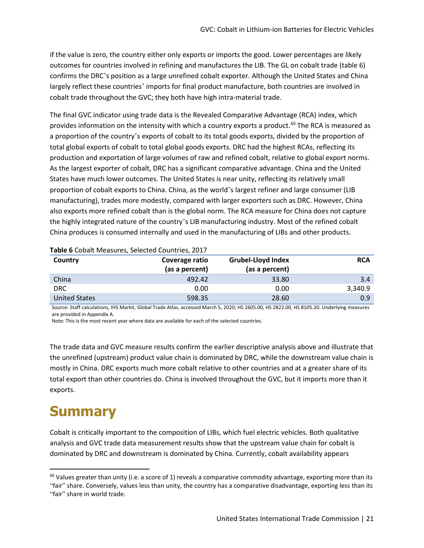if the value is zero, the country either only exports or imports the good. Lower percentages are likely outcomes for countries involved in refining and manufactures the LIB. The GL on cobalt trade (table 6) cobalt trade throughout the GVC; they both have high intra-material trade. confirms the DRC's position as a large unrefined cobalt exporter. Although the United States and China largely reflect these countries' imports for final product manufacture, both countries are involved in

 total global exports of cobalt to total global goods exports. DRC had the highest RCAs, reflecting its States have much lower outcomes. The United States is near unity, reflecting its relatively small proportion of cobalt exports to China. China, as the world's largest refiner and large consumer (LIB manufacturing), trades more modestly, compared with larger exporters such as DRC. However, China also exports more refined cobalt than is the global norm. The RCA measure for China does not capture China produces is consumed internally and used in the manufacturing of LIBs and other products. The final GVC indicator using trade data is the Revealed Comparative Advantage (RCA) index, which provides information on the intensity with which a country exports a product.<sup>60</sup> The RCA is measured as a proportion of the country's exports of cobalt to its total goods exports, divided by the proportion of production and exportation of large volumes of raw and refined cobalt, relative to global export norms. As the largest exporter of cobalt, DRC has a significant comparative advantage. China and the United the highly integrated nature of the country's LIB manufacturing industry. Most of the refined cobalt

| <b>Table &amp; Copair Incasares, Sciected Countiles, 2017</b> |                                  |                                             |            |  |  |  |
|---------------------------------------------------------------|----------------------------------|---------------------------------------------|------------|--|--|--|
| Country                                                       | Coverage ratio<br>(as a percent) | <b>Grubel-Lloyd Index</b><br>(as a percent) | <b>RCA</b> |  |  |  |
| China                                                         | 492.42                           | 33.80                                       | 3.4        |  |  |  |
|                                                               |                                  |                                             |            |  |  |  |
| <b>DRC</b>                                                    | 0.00                             | 0.00                                        | 3,340.9    |  |  |  |
| <b>United States</b>                                          | 598.35                           | 28.60                                       | 0.9        |  |  |  |

#### **Table 6** Cobalt Measures, Selected Countries, 2017

 Source: Staff calculations, IHS Markit, Global Trade Atlas, accessed March 5, 2020; HS 2605.00, HS 2822.00, HS 8105.20. Underlying measures are provided in Appendix A.

Note: This is the most recent year where data are available for each of the selected countries.

 The trade data and GVC measure results confirm the earlier descriptive analysis above and illustrate that the unrefined (upstream) product value chain is dominated by DRC, while the downstream value chain is total export than other countries do. China is involved throughout the GVC, but it imports more than it mostly in China. DRC exports much more cobalt relative to other countries and at a greater share of its exports.

### **Summary**

 analysis and GVC trade data measurement results show that the upstream value chain for cobalt is Cobalt is critically important to the composition of LIBs, which fuel electric vehicles. Both qualitative dominated by DRC and downstream is dominated by China. Currently, cobalt availability appears

<span id="page-26-0"></span> $60$  Values greater than unity (i.e. a score of 1) reveals a comparative commodity advantage, exporting more than its "fair" share. Conversely, values less than unity, the country has a comparative disadvantage, exporting less than its "fair" share in world trade.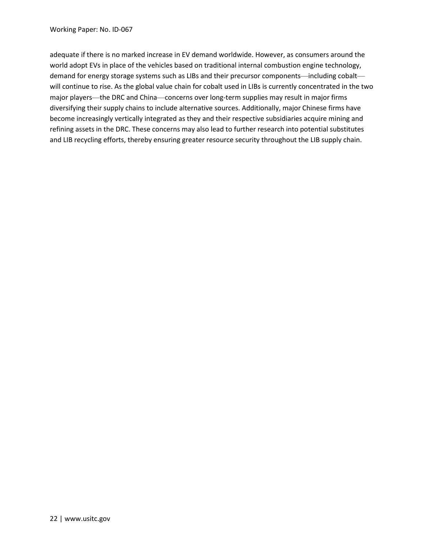adequate if there is no marked increase in EV demand worldwide. However, as consumers around the will continue to rise. As the global value chain for cobalt used in LIBs is currently concentrated in the two major players—the DRC and China—concerns over long-term supplies may result in major firms become increasingly vertically integrated as they and their respective subsidiaries acquire mining and refining assets in the DRC. These concerns may also lead to further research into potential substitutes and LIB recycling efforts, thereby ensuring greater resource security throughout the LIB supply chain. world adopt EVs in place of the vehicles based on traditional internal combustion engine technology, demand for energy storage systems such as LIBs and their precursor components—including cobalt diversifying their supply chains to include alternative sources. Additionally, major Chinese firms have and LIB recycling efforts, thereby ensuring greater resource security throughout the LIB supply chain.<br>22 |<www.usitc.gov><br>22 | www.usitc.gov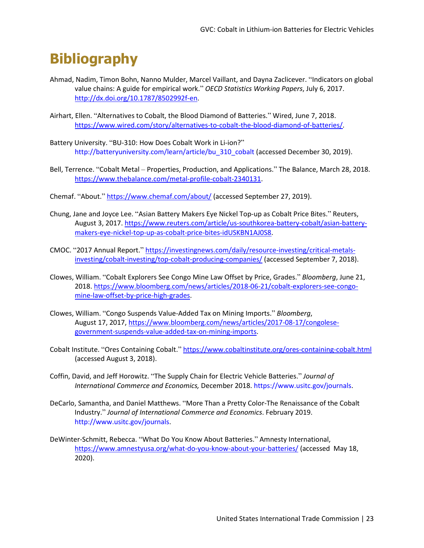### **Bibliography**

- Ahmad, Nadim, Timon Bohn, Nanno Mulder, Marcel Vaillant, and Dayna Zaclicever. "Indicators on global value chains: A guide for empirical work." *OECD Statistics Working Papers*, July 6, 2017. [http://dx.doi.org/10.1787/8502992f-en.](http://dx.doi.org/10.1787/8502992f-en)
- Airhart, Ellen. "Alternatives to Cobalt, the Blood Diamond of Batteries." Wired, June 7, 2018. [https://www.wired.com/story/alternatives-to-cobalt-the-blood-diamond-of-batteries/.](https://www.wired.com/story/alternatives-to-cobalt-the-blood-diamond-of-batteries/)
- Battery University. "BU-310: How Does Cobalt Work in Li-ion?" [http://batteryuniversity.com/learn/article/bu\\_310\\_cobalt](http://batteryuniversity.com/learn/article/bu_310_cobalt) (accessed December 30, 2019).
- Bell, Terrence. "Cobalt Metal Properties, Production, and Applications." The Balance, March 28, 2018. [https://www.thebalance.com/metal-profile-cobalt-2340131.](https://www.thebalance.com/metal-profile-cobalt-2340131)
- Chemaf. "About." <https://www.chemaf.com/about/>(accessed September 27, 2019).
- Chung, Jane and Joyce Lee. "Asian Battery Makers Eye Nickel Top-up as Cobalt Price Bites." Reuters, August 3, 2017. [https://www.reuters.com/article/us-southkorea-battery-cobalt/asian-battery](https://www.reuters.com/article/us-southkorea-battery-cobalt/asian-battery-makers-eye-nickel-top-up-as-cobalt-price-bites-idUSKBN1AJ0S8)[makers-eye-nickel-top-up-as-cobalt-price-bites-idUSKBN1AJ0S8.](https://www.reuters.com/article/us-southkorea-battery-cobalt/asian-battery-makers-eye-nickel-top-up-as-cobalt-price-bites-idUSKBN1AJ0S8)
- CMOC. "2017 Annual Report." [https://investingnews.com/daily/resource-investing/critical-metals](https://investingnews.com/daily/resource-investing/critical-metals-investing/cobalt-investing/top-cobalt-producing-companies/)[investing/cobalt-investing/top-cobalt-producing-companies/](https://investingnews.com/daily/resource-investing/critical-metals-investing/cobalt-investing/top-cobalt-producing-companies/) (accessed September 7, 2018).
- mine-law-offset-by-price-high-grades. Clowes, William. "Cobalt Explorers See Congo Mine Law Offset by Price, Grades." *Bloomberg*, June 21, 2018[. https://www.bloomberg.com/news/articles/2018-06-21/cobalt-explorers-see-congo-](https://www.bloomberg.com/news/articles/2018-06-21/cobalt-explorers-see-congo-mine-law-offset-by-price-high-grades)
- [mine-law-offset-by-price-high-grades.](https://www.bloomberg.com/news/articles/2018-06-21/cobalt-explorers-see-congo-mine-law-offset-by-price-high-grades) Clowes, William. "Congo Suspends Value-Added Tax on Mining Imports." *Bloomberg*, August 17, 2017[, https://www.bloomberg.com/news/articles/2017-08-17/congolese](https://www.bloomberg.com/news/articles/2017-08-17/congolese-government-suspends-value-added-tax-on-mining-imports)[government-suspends-value-added-tax-on-mining-imports.](https://www.bloomberg.com/news/articles/2017-08-17/congolese-government-suspends-value-added-tax-on-mining-imports)
- Cobalt Institute. "Ores Containing Cobalt." <https://www.cobaltinstitute.org/ores-containing-cobalt.html> (accessed August 3, 2018).
- Coffin, David, and Jeff Horowitz. "The Supply Chain for Electric Vehicle Batteries." *Journal of International Commerce and Economics,* December 2018. [https://www.usitc.gov/journals.](https://www.usitc.gov/journals)
- DeCarlo, Samantha, and Daniel Matthews. "More Than a Pretty Color-The Renaissance of the Cobalt Industry." *Journal of International Commerce and Economics*. February 2019. <http://www.usitc.gov/journals>.
- DeWinter-Schmitt, Rebecca. "What Do You Know About Batteries." Amnesty International, <https://www.amnestyusa.org/what-do-you-know-about-your-batteries/>(accessed May 18, 2020).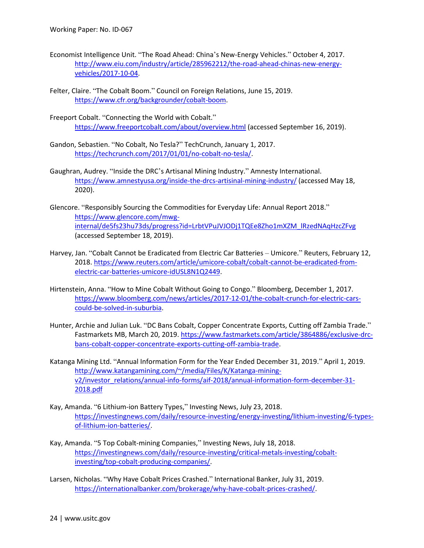- Economist Intelligence Unit. "The Road Ahead: China's New-Energy Vehicles." October 4, 2017. [http://www.eiu.com/industry/article/285962212/the-road-ahead-chinas-new-energy](http://www.eiu.com/industry/article/285962212/the-road-ahead-chinas-new-energy-vehicles/2017-10-04)[vehicles/2017-10-04.](http://www.eiu.com/industry/article/285962212/the-road-ahead-chinas-new-energy-vehicles/2017-10-04)
- Felter, Claire. "The Cobalt Boom." Council on Foreign Relations, June 15, 2019. [https://www.cfr.org/backgrounder/cobalt-boom.](https://www.cfr.org/backgrounder/cobalt-boom)
- Freeport Cobalt. "Connecting the World with Cobalt." [https://www.freeportcobalt.com/about/overview.html \(](https://www.freeportcobalt.com/about/overview.html)accessed September 16, 2019).
- Gandon, Sebastien. "No Cobalt, No Tesla?" TechCrunch, January 1, 2017. [https://techcrunch.com/2017/01/01/no-cobalt-no-tesla/.](https://techcrunch.com/2017/01/01/no-cobalt-no-tesla/)
- $2020$ ). Gaughran, Audrey. "Inside the DRC's Artisanal Mining Industry." Amnesty International. <https://www.amnestyusa.org/inside-the-drcs-artisinal-mining-industry/>(accessed May 18,
- 2020). Glencore. "Responsibly Sourcing the Commodities for Everyday Life: Annual Report 2018." [https://www.glencore.com/mwg](https://www.glencore.com/mwg-internal/de5fs23hu73ds/progress?id=LrbtVPuJVJODj1TQEe8Zho1mXZM_lRzedNAqHzcZFvg)[internal/de5fs23hu73ds/progress?id=LrbtVPuJVJODj1TQEe8Zho1mXZM\\_lRzedNAqHzcZFvg](https://www.glencore.com/mwg-internal/de5fs23hu73ds/progress?id=LrbtVPuJVJODj1TQEe8Zho1mXZM_lRzedNAqHzcZFvg)  (accessed September 18, 2019).
- Harvey, Jan. "Cobalt Cannot be Eradicated from Electric Car Batteries Umicore." Reuters, February 12, 2018[. https://www.reuters.com/article/umicore-cobalt/cobalt-cannot-be-eradicated-from](https://www.reuters.com/article/umicore-cobalt/cobalt-cannot-be-eradicated-from-electric-car-batteries-umicore-idUSL8N1Q2449)[electric-car-batteries-umicore-idUSL8N1Q2449.](https://www.reuters.com/article/umicore-cobalt/cobalt-cannot-be-eradicated-from-electric-car-batteries-umicore-idUSL8N1Q2449)
- Hirtenstein, Anna. "How to Mine Cobalt Without Going to Congo." Bloomberg, December 1, 2017. [https://www.bloomberg.com/news/articles/2017-12-01/the-cobalt-crunch-for-electric-cars](https://www.bloomberg.com/news/articles/2017-12-01/the-cobalt-crunch-for-electric-cars-could-be-solved-in-suburbia)[could-be-solved-in-suburbia.](https://www.bloomberg.com/news/articles/2017-12-01/the-cobalt-crunch-for-electric-cars-could-be-solved-in-suburbia)
- Fastmarkets MB, March 20, 2019. [https://www.fastmarkets.com/article/3864886/exclusive-drc-](https://www.fastmarkets.com/article/3864886/exclusive-drc-bans-cobalt-copper-concentrate-exports-cutting-off-zambia-trade)Hunter, Archie and Julian Luk. "DC Bans Cobalt, Copper Concentrate Exports, Cutting off Zambia Trade." [bans-cobalt-copper-concentrate-exports-cutting-off-zambia-trade.](https://www.fastmarkets.com/article/3864886/exclusive-drc-bans-cobalt-copper-concentrate-exports-cutting-off-zambia-trade)
- Katanga Mining Ltd. "Annual Information Form for the Year Ended December 31, 2019." April 1, 2019. [http://www.katangamining.com/~/media/Files/K/Katanga-mining](http://www.katangamining.com/%7E/media/Files/K/Katanga-mining-v2/investor_relations/annual-info-forms/aif-2018/annual-information-form-december-31-2018.pdf)[v2/investor\\_relations/annual-info-forms/aif-2018/annual-information-form-december-31-](http://www.katangamining.com/%7E/media/Files/K/Katanga-mining-v2/investor_relations/annual-info-forms/aif-2018/annual-information-form-december-31-2018.pdf) [2018.pdf](http://www.katangamining.com/%7E/media/Files/K/Katanga-mining-v2/investor_relations/annual-info-forms/aif-2018/annual-information-form-december-31-2018.pdf)
- Kay, Amanda. "6 Lithium-ion Battery Types," Investing News, July 23, 2018. [https://investingnews.com/daily/resource-investing/energy-investing/lithium-investing/6-types](https://investingnews.com/daily/resource-investing/energy-investing/lithium-investing/6-types-of-lithium-ion-batteries/)[of-lithium-ion-batteries/.](https://investingnews.com/daily/resource-investing/energy-investing/lithium-investing/6-types-of-lithium-ion-batteries/)
- Kay, Amanda. "5 Top Cobalt-mining Companies," Investing News, July 18, 2018. [https://investingnews.com/daily/resource-investing/critical-metals-investing/cobalt](https://investingnews.com/daily/resource-investing/critical-metals-investing/cobalt-investing/top-cobalt-producing-companies/)[investing/top-cobalt-producing-companies/.](https://investingnews.com/daily/resource-investing/critical-metals-investing/cobalt-investing/top-cobalt-producing-companies/)
- Larsen, Nicholas. "Why Have Cobalt Prices Crashed." International Banker, July 31, 2019. [https://internationalbanker.com/brokerage/why-have-cobalt-prices-crashed/.](https://internationalbanker.com/brokerage/why-have-cobalt-prices-crashed/)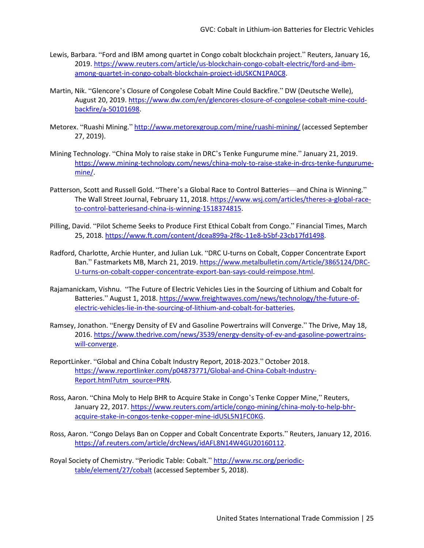- Lewis, Barbara. "Ford and IBM among quartet in Congo cobalt blockchain project." Reuters, January 16, 2019[. https://www.reuters.com/article/us-blockchain-congo-cobalt-electric/ford-and-ibm](https://www.reuters.com/article/us-blockchain-congo-cobalt-electric/ford-and-ibm-among-quartet-in-congo-cobalt-blockchain-project-idUSKCN1PA0C8)[among-quartet-in-congo-cobalt-blockchain-project-idUSKCN1PA0C8.](https://www.reuters.com/article/us-blockchain-congo-cobalt-electric/ford-and-ibm-among-quartet-in-congo-cobalt-blockchain-project-idUSKCN1PA0C8)
- Martin, Nik. "Glencore's Closure of Congolese Cobalt Mine Could Backfire." DW (Deutsche Welle), August 20, 2019[. https://www.dw.com/en/glencores-closure-of-congolese-cobalt-mine-could](https://www.dw.com/en/glencores-closure-of-congolese-cobalt-mine-could-backfire/a-50101698)[backfire/a-50101698.](https://www.dw.com/en/glencores-closure-of-congolese-cobalt-mine-could-backfire/a-50101698)
- Metorex. "Ruashi Mining." <http://www.metorexgroup.com/mine/ruashi-mining/>(accessed September 27, 2019).
- Mining Technology. "China Moly to raise stake in DRC's Tenke Fungurume mine." January 21, 2019. [https://www.mining-technology.com/news/china-moly-to-raise-stake-in-drcs-tenke-fungurume](https://www.mining-technology.com/news/china-moly-to-raise-stake-in-drcs-tenke-fungurume-mine/)[mine/.](https://www.mining-technology.com/news/china-moly-to-raise-stake-in-drcs-tenke-fungurume-mine/)
- Patterson, Scott and Russell Gold. "There's a Global Race to Control Batteries—and China is Winning." The Wall Street Journal, February 11, 2018[. https://www.wsj.com/articles/theres-a-global-race](https://www.wsj.com/articles/theres-a-global-race-to-control-batteriesand-china-is-winning-1518374815)[to-control-batteriesand-china-is-winning-1518374815.](https://www.wsj.com/articles/theres-a-global-race-to-control-batteriesand-china-is-winning-1518374815)
- Pilling, David. "Pilot Scheme Seeks to Produce First Ethical Cobalt from Congo." Financial Times, March 25, 2018. [https://www.ft.com/content/dcea899a-2f8c-11e8-b5bf-23cb17fd1498.](https://www.ft.com/content/dcea899a-2f8c-11e8-b5bf-23cb17fd1498)
- Radford, Charlotte, Archie Hunter, and Julian Luk. "DRC U-turns on Cobalt, Copper Concentrate Export Ban." Fastmarkets MB, March 21, 2019. [https://www.metalbulletin.com/Article/3865124/DRC-](https://www.metalbulletin.com/Article/3865124/DRC-U-turns-on-cobalt-copper-concentrate-export-ban-says-could-reimpose.html)[U-turns-on-cobalt-copper-concentrate-export-ban-says-could-reimpose.html.](https://www.metalbulletin.com/Article/3865124/DRC-U-turns-on-cobalt-copper-concentrate-export-ban-says-could-reimpose.html)
- Rajamanickam, Vishnu. "The Future of Electric Vehicles Lies in the Sourcing of Lithium and Cobalt for Batteries." August 1, 2018[. https://www.freightwaves.com/news/technology/the-future-of](https://www.freightwaves.com/news/technology/the-future-of-electric-vehicles-lie-in-the-sourcing-of-lithium-and-cobalt-for-batteries)[electric-vehicles-lie-in-the-sourcing-of-lithium-and-cobalt-for-batteries.](https://www.freightwaves.com/news/technology/the-future-of-electric-vehicles-lie-in-the-sourcing-of-lithium-and-cobalt-for-batteries)
- Ramsey, Jonathon. "Energy Density of EV and Gasoline Powertrains will Converge." The Drive, May 18, 2016[. https://www.thedrive.com/news/3539/energy-density-of-ev-and-gasoline-powertrains](https://www.thedrive.com/news/3539/energy-density-of-ev-and-gasoline-powertrains-will-converge)[will-converge.](https://www.thedrive.com/news/3539/energy-density-of-ev-and-gasoline-powertrains-will-converge)
- ReportLinker. "Global and China Cobalt Industry Report, 2018-2023." October 2018. [https://www.reportlinker.com/p04873771/Global-and-China-Cobalt-Industry-](https://www.reportlinker.com/p04873771/Global-and-China-Cobalt-Industry-Report.html?utm_source=PRN)[Report.html?utm\\_source=PRN.](https://www.reportlinker.com/p04873771/Global-and-China-Cobalt-Industry-Report.html?utm_source=PRN)
- Ross, Aaron. "China Moly to Help BHR to Acquire Stake in Congo's Tenke Copper Mine," Reuters, January 22, 2017. [https://www.reuters.com/article/congo-mining/china-moly-to-help-bhr](https://www.reuters.com/article/congo-mining/china-moly-to-help-bhr-acquire-stake-in-congos-tenke-copper-mine-idUSL5N1FC0KG)[acquire-stake-in-congos-tenke-copper-mine-idUSL5N1FC0KG.](https://www.reuters.com/article/congo-mining/china-moly-to-help-bhr-acquire-stake-in-congos-tenke-copper-mine-idUSL5N1FC0KG)
- Ross, Aaron. "Congo Delays Ban on Copper and Cobalt Concentrate Exports." Reuters, January 12, 2016. [https://af.reuters.com/article/drcNews/idAFL8N14W4GU20160112.](https://af.reuters.com/article/drcNews/idAFL8N14W4GU20160112)

Royal Society of Chemistry. "Periodic Table: Cobalt." [http://www.rsc.org/periodic](http://www.rsc.org/periodic-table/element/27/cobalt)[table/element/27/cobalt](http://www.rsc.org/periodic-table/element/27/cobalt) (accessed September 5, 2018).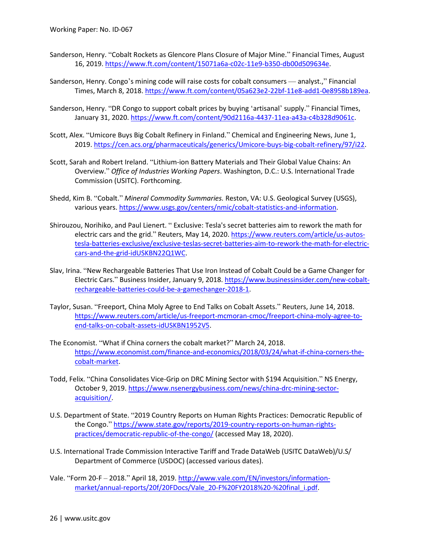- Sanderson, Henry. "Cobalt Rockets as Glencore Plans Closure of Major Mine." Financial Times, August 16, 2019. [https://www.ft.com/content/15071a6a-c02c-11e9-b350-db00d509634e.](https://www.ft.com/content/15071a6a-c02c-11e9-b350-db00d509634e)
- Sanderson, Henry. Congo's mining code will raise costs for cobalt consumers analyst.," Financial Times, March 8, 2018[. https://www.ft.com/content/05a623e2-22bf-11e8-add1-0e8958b189ea.](https://www.ft.com/content/05a623e2-22bf-11e8-add1-0e8958b189ea)
- Sanderson, Henry. "DR Congo to support cobalt prices by buying 'artisanal' supply." Financial Times, January 31, 2020. [https://www.ft.com/content/90d2116a-4437-11ea-a43a-c4b328d9061c.](https://www.ft.com/content/90d2116a-4437-11ea-a43a-c4b328d9061c)
- Scott, Alex. "Umicore Buys Big Cobalt Refinery in Finland." Chemical and Engineering News, June 1, 2019[. https://cen.acs.org/pharmaceuticals/generics/Umicore-buys-big-cobalt-refinery/97/i22.](https://cen.acs.org/pharmaceuticals/generics/Umicore-buys-big-cobalt-refinery/97/i22)
- Overview." *Office of Industries Working Papers*. Washington, D.C.: U.S. International Trade Commission (USITC). Forthcoming. Scott, Sarah and Robert Ireland. "Lithium-ion Battery Materials and Their Global Value Chains: An
- Shedd, Kim B. "Cobalt." *Mineral Commodity Summaries.* Reston, VA: U.S. Geological Survey (USGS), various years. [https://www.usgs.gov/centers/nmic/cobalt-statistics-and-information.](https://www.usgs.gov/centers/nmic/cobalt-statistics-and-information)
- Shirouzou, Norihiko, and Paul Lienert. " Exclusive: Tesla's secret batteries aim to rework the math for electric cars and the grid." Reuters, May 14, 2020. [https://www.reuters.com/article/us-autos](https://www.reuters.com/article/us-autos-tesla-batteries-exclusive/exclusive-teslas-secret-batteries-aim-to-rework-the-math-for-electric-cars-and-the-grid-idUSKBN22Q1WC)[tesla-batteries-exclusive/exclusive-teslas-secret-batteries-aim-to-rework-the-math-for-electric](https://www.reuters.com/article/us-autos-tesla-batteries-exclusive/exclusive-teslas-secret-batteries-aim-to-rework-the-math-for-electric-cars-and-the-grid-idUSKBN22Q1WC)[cars-and-the-grid-idUSKBN22Q1WC.](https://www.reuters.com/article/us-autos-tesla-batteries-exclusive/exclusive-teslas-secret-batteries-aim-to-rework-the-math-for-electric-cars-and-the-grid-idUSKBN22Q1WC)
- Electric Cars." Business Insider, January 9, 2018[. https://www.businessinsider.com/new-cobalt-](https://www.businessinsider.com/new-cobalt-rechargeable-batteries-could-be-a-gamechanger-2018-1)Slav, Irina. "New Rechargeable Batteries That Use Iron Instead of Cobalt Could be a Game Changer for [rechargeable-batteries-could-be-a-gamechanger-2018-1.](https://www.businessinsider.com/new-cobalt-rechargeable-batteries-could-be-a-gamechanger-2018-1)
- Taylor, Susan. "Freeport, China Moly Agree to End Talks on Cobalt Assets." Reuters, June 14, 2018. [https://www.reuters.com/article/us-freeport-mcmoran-cmoc/freeport-china-moly-agree-to](https://www.reuters.com/article/us-freeport-mcmoran-cmoc/freeport-china-moly-agree-to-end-talks-on-cobalt-assets-idUSKBN1952V5)[end-talks-on-cobalt-assets-idUSKBN1952V5.](https://www.reuters.com/article/us-freeport-mcmoran-cmoc/freeport-china-moly-agree-to-end-talks-on-cobalt-assets-idUSKBN1952V5)
- The Economist. "What if China corners the cobalt market?" March 24, 2018. [https://www.economist.com/finance-and-economics/2018/03/24/what-if-china-corners-the](https://www.economist.com/finance-and-economics/2018/03/24/what-if-china-corners-the-cobalt-market)[cobalt-market.](https://www.economist.com/finance-and-economics/2018/03/24/what-if-china-corners-the-cobalt-market)
- October 9, 2019[. https://www.nsenergybusiness.com/news/china-drc-mining-sector-](https://www.nsenergybusiness.com/news/china-drc-mining-sector-acquisition/)Todd, Felix. "China Consolidates Vice-Grip on DRC Mining Sector with \$194 Acquisition." NS Energy, [acquisition/.](https://www.nsenergybusiness.com/news/china-drc-mining-sector-acquisition/)
- U.S. Department of State. "2019 Country Reports on Human Rights Practices: Democratic Republic of the Congo." [https://www.state.gov/reports/2019-country-reports-on-human-rights](https://www.state.gov/reports/2019-country-reports-on-human-rights-practices/democratic-republic-of-the-congo/)[practices/democratic-republic-of-the-congo/](https://www.state.gov/reports/2019-country-reports-on-human-rights-practices/democratic-republic-of-the-congo/) (accessed May 18, 2020).
- U.S. International Trade Commission Interactive Tariff and Trade DataWeb (USITC DataWeb)/U.S/ Department of Commerce (USDOC) (accessed various dates).
- Vale. "Form 20-F 2018." April 18, 2019[. http://www.vale.com/EN/investors/information](http://www.vale.com/EN/investors/information-market/annual-reports/20f/20FDocs/Vale_20-F%20FY2018%20-%20final_i.pdf)[market/annual-reports/20f/20FDocs/Vale\\_20-F%20FY2018%20-%20final\\_i.pdf.](http://www.vale.com/EN/investors/information-market/annual-reports/20f/20FDocs/Vale_20-F%20FY2018%20-%20final_i.pdf)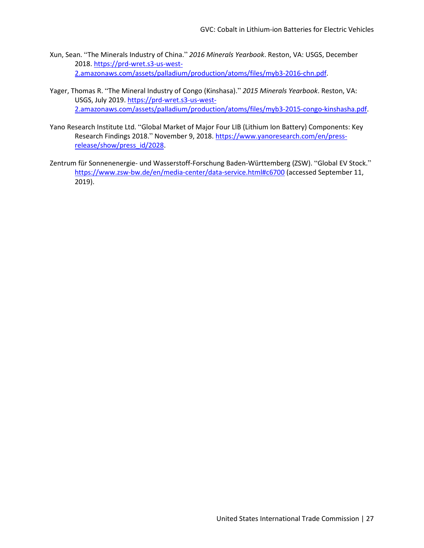- Xun, Sean. "The Minerals Industry of China." *2016 Minerals Yearbook*. Reston, VA: USGS, December 2018[. https://prd-wret.s3-us-west-](https://prd-wret.s3-us-west-2.amazonaws.com/assets/palladium/production/atoms/files/myb3-2016-chn.pdf)[2.amazonaws.com/assets/palladium/production/atoms/files/myb3-2016-chn.pdf.](https://prd-wret.s3-us-west-2.amazonaws.com/assets/palladium/production/atoms/files/myb3-2016-chn.pdf)
- Yager, Thomas R. "The Mineral Industry of Congo (Kinshasa)." *2015 Minerals Yearbook*. Reston, VA: USGS, July 2019. [https://prd-wret.s3-us-west-](https://prd-wret.s3-us-west-2.amazonaws.com/assets/palladium/production/atoms/files/myb3-2015-congo-kinshasha.pdf)[2.amazonaws.com/assets/palladium/production/atoms/files/myb3-2015-congo-kinshasha.pdf.](https://prd-wret.s3-us-west-2.amazonaws.com/assets/palladium/production/atoms/files/myb3-2015-congo-kinshasha.pdf)
- Yano Research Institute Ltd. "Global Market of Major Four LIB (Lithium Ion Battery) Components: Key Research Findings 2018." November 9, 2018. [https://www.yanoresearch.com/en/press](https://www.yanoresearch.com/en/press-release/show/press_id/2028)[release/show/press\\_id/2028.](https://www.yanoresearch.com/en/press-release/show/press_id/2028)
- Zentrum für Sonnenenergie- und Wasserstoff-Forschung Baden-Württemberg (ZSW). "Global EV Stock." [https://www.zsw-bw.de/en/media-center/data-service.html#c6700 \(](https://www.zsw-bw.de/en/media-center/data-service.html#c6700)accessed September 11, 2019).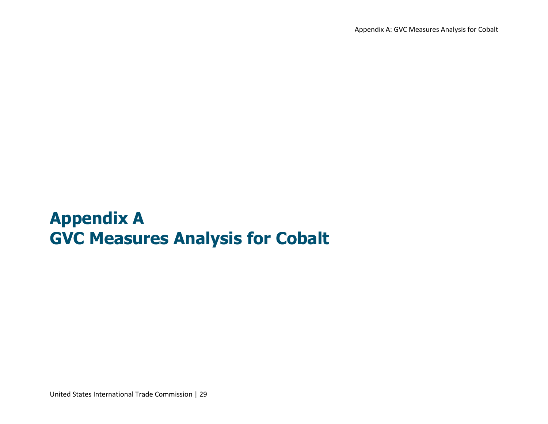Appendix A: GVC Measures Analysis for Cobalt

# **Appendix A GVC Measures Analysis for Cobalt**

United States International Trade Commission | 29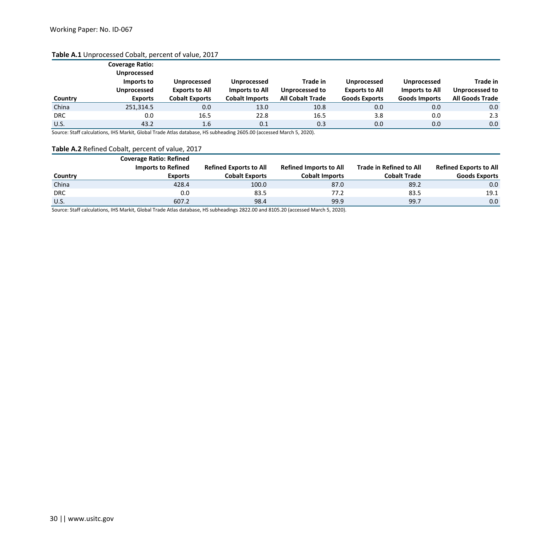#### **Table A.1** Unprocessed Cobalt, percent of value, 2017

|            | <b>Coverage Ratio:</b>           |                       |                       |                         |                       |                      |                        |
|------------|----------------------------------|-----------------------|-----------------------|-------------------------|-----------------------|----------------------|------------------------|
|            | <b>Unprocessed</b><br>Imports to | <b>Unprocessed</b>    | <b>Unprocessed</b>    | Trade in                | <b>Unprocessed</b>    | <b>Unprocessed</b>   | Trade in               |
|            | <b>Unprocessed</b>               | <b>Exports to All</b> | Imports to All        | Unprocessed to          | <b>Exports to All</b> | Imports to All       | <b>Unprocessed to</b>  |
| Country    | <b>Exports</b>                   | <b>Cobalt Exports</b> | <b>Cobalt Imports</b> | <b>All Cobalt Trade</b> | <b>Goods Exports</b>  | <b>Goods Imports</b> | <b>All Goods Trade</b> |
| China      | 251,314.5                        | 0.0                   | 13.0                  | 10.8                    | 0.0                   | 0.0                  | 0.0                    |
| <b>DRC</b> | 0.0                              | 16.5                  | 22.8                  | 16.5                    | 3.8                   | 0.0                  | 2.3                    |
| U.S.       | 43.2                             | 1.6                   | 0.1                   | 0.3                     | 0.0                   | 0.0                  | 0.0                    |

Source: Staff calculations, IHS Markit, Global Trade Atlas database, HS subheading 2605.00 (accessed March 5, 2020).

#### **Table A.2** Refined Cobalt, percent of value, 2017

|            | <b>Coverage Ratio: Refined</b> |                               |                               |                                |                               |
|------------|--------------------------------|-------------------------------|-------------------------------|--------------------------------|-------------------------------|
|            | <b>Imports to Refined</b>      | <b>Refined Exports to All</b> | <b>Refined Imports to All</b> | <b>Trade in Refined to All</b> | <b>Refined Exports to All</b> |
| Country    | <b>Exports</b>                 | <b>Cobalt Exports</b>         | <b>Cobalt Imports</b>         | <b>Cobalt Trade</b>            | <b>Goods Exports</b>          |
| China      | 428.4                          | 100.0                         | 87.0                          | 89.2                           | 0.0 <sub>1</sub>              |
| <b>DRC</b> | 0.0                            | 83.5                          | 77.2                          | 83.5                           | 19.1                          |
| U.S.       | 607.2                          | 98.4                          | 99.9                          | 99.7                           | 0.0                           |

Source: Staff calculations, IHS Markit, Global Trade Atlas database, HS subheadings 2822.00 and 8105.20 (accessed March 5, 2020).